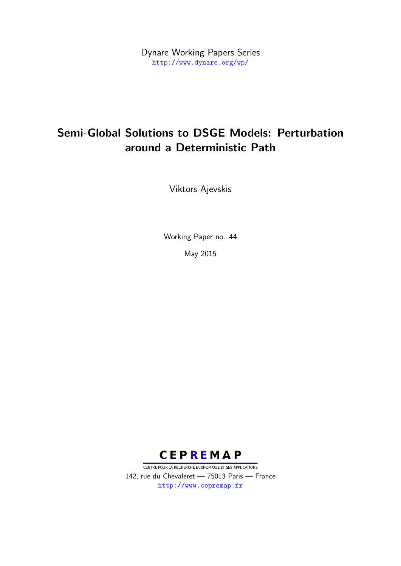Dynare Working Papers Series <http://www.dynare.org/wp/>

# Semi-Global Solutions to DSGE Models: Perturbation around a Deterministic Path

Viktors Ajevskis

Working Paper no. 44

May 2015



CENTRE POUR LA RECHERCHE ECONOMIQUE ET SES APPLICATIONS 142, rue du Chevaleret — 75013 Paris — France <http://www.cepremap.fr>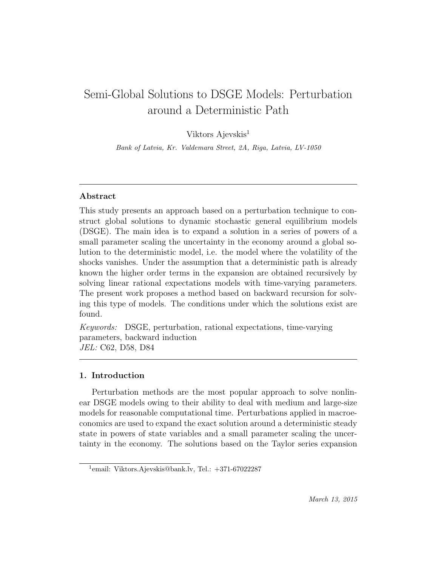# Semi-Global Solutions to DSGE Models: Perturbation around a Deterministic Path

Viktors Ajevskis<sup>1</sup>

Bank of Latvia, Kr. Valdemara Street, 2A, Riga, Latvia, LV-1050

### Abstract

This study presents an approach based on a perturbation technique to construct global solutions to dynamic stochastic general equilibrium models (DSGE). The main idea is to expand a solution in a series of powers of a small parameter scaling the uncertainty in the economy around a global solution to the deterministic model, i.e. the model where the volatility of the shocks vanishes. Under the assumption that a deterministic path is already known the higher order terms in the expansion are obtained recursively by solving linear rational expectations models with time-varying parameters. The present work proposes a method based on backward recursion for solving this type of models. The conditions under which the solutions exist are found.

Keywords: DSGE, perturbation, rational expectations, time-varying parameters, backward induction JEL: C62, D58, D84

### 1. Introduction

Perturbation methods are the most popular approach to solve nonlinear DSGE models owing to their ability to deal with medium and large-size models for reasonable computational time. Perturbations applied in macroeconomics are used to expand the exact solution around a deterministic steady state in powers of state variables and a small parameter scaling the uncertainty in the economy. The solutions based on the Taylor series expansion

<sup>1</sup> email: Viktors.Ajevskis@bank.lv, Tel.: +371-67022287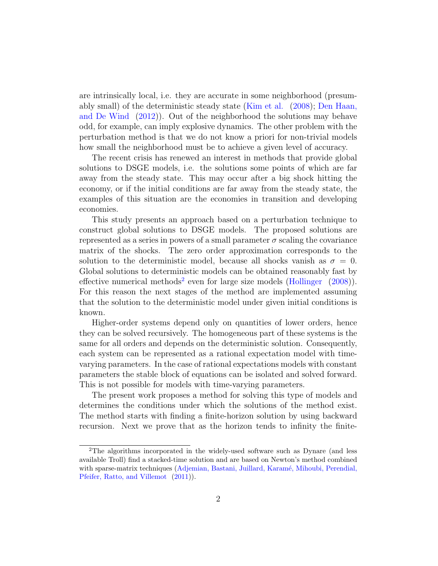are intrinsically local, i.e. they are accurate in some neighborhood (presumably small) of the deterministic steady state [\(Kim et al.](#page-33-0) [\(2008\)](#page-33-0); [Den Haan,](#page-32-0) [and De Wind](#page-32-0) [\(2012\)](#page-32-0)). Out of the neighborhood the solutions may behave odd, for example, can imply explosive dynamics. The other problem with the perturbation method is that we do not know a priori for non-trivial models how small the neighborhood must be to achieve a given level of accuracy.

The recent crisis has renewed an interest in methods that provide global solutions to DSGE models, i.e. the solutions some points of which are far away from the steady state. This may occur after a big shock hitting the economy, or if the initial conditions are far away from the steady state, the examples of this situation are the economies in transition and developing economies.

This study presents an approach based on a perturbation technique to construct global solutions to DSGE models. The proposed solutions are represented as a series in powers of a small parameter  $\sigma$  scaling the covariance matrix of the shocks. The zero order approximation corresponds to the solution to the deterministic model, because all shocks vanish as  $\sigma = 0$ . Global solutions to deterministic models can be obtained reasonably fast by effective numerical methods<sup>[2](#page-2-0)</sup> even for large size models [\(Hollinger](#page-33-1)  $(2008)$ ). For this reason the next stages of the method are implemented assuming that the solution to the deterministic model under given initial conditions is known.

Higher-order systems depend only on quantities of lower orders, hence they can be solved recursively. The homogeneous part of these systems is the same for all orders and depends on the deterministic solution. Consequently, each system can be represented as a rational expectation model with timevarying parameters. In the case of rational expectations models with constant parameters the stable block of equations can be isolated and solved forward. This is not possible for models with time-varying parameters.

The present work proposes a method for solving this type of models and determines the conditions under which the solutions of the method exist. The method starts with finding a finite-horizon solution by using backward recursion. Next we prove that as the horizon tends to infinity the finite-

<span id="page-2-0"></span><sup>2</sup>The algorithms incorporated in the widely-used software such as Dynare (and less available Troll) find a stacked-time solution and are based on Newton's method combined with sparse-matrix techniques (Adjemian, Bastani, Juillard, Karamé, Mihoubi, Perendial, [Pfeifer, Ratto, and Villemot](#page-32-1) [\(2011\)](#page-32-1)).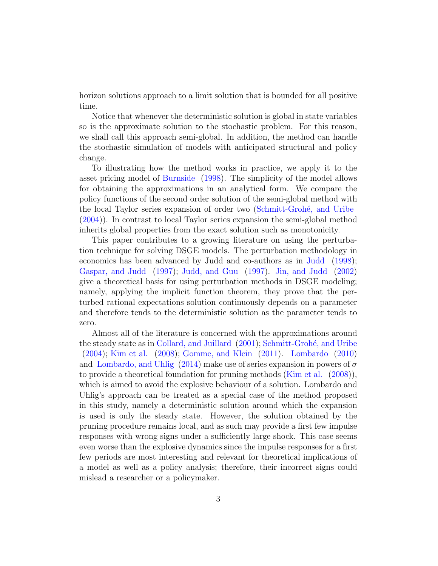horizon solutions approach to a limit solution that is bounded for all positive time.

Notice that whenever the deterministic solution is global in state variables so is the approximate solution to the stochastic problem. For this reason, we shall call this approach semi-global. In addition, the method can handle the stochastic simulation of models with anticipated structural and policy change.

To illustrating how the method works in practice, we apply it to the asset pricing model of [Burnside](#page-32-2) [\(1998\)](#page-32-2). The simplicity of the model allows for obtaining the approximations in an analytical form. We compare the policy functions of the second order solution of the semi-global method with the local Taylor series expansion of order two (Schmitt-Grohé, and Uribe [\(2004\)](#page-34-0)). In contrast to local Taylor series expansion the semi-global method inherits global properties from the exact solution such as monotonicity.

This paper contributes to a growing literature on using the perturbation technique for solving DSGE models. The perturbation methodology in economics has been advanced by Judd and co-authors as in [Judd](#page-33-2) [\(1998\)](#page-33-2); [Gaspar, and Judd](#page-33-3) [\(1997\)](#page-33-3); [Judd, and Guu](#page-33-4) [\(1997\)](#page-33-4). [Jin, and Judd](#page-33-5) [\(2002\)](#page-33-5) give a theoretical basis for using perturbation methods in DSGE modeling; namely, applying the implicit function theorem, they prove that the perturbed rational expectations solution continuously depends on a parameter and therefore tends to the deterministic solution as the parameter tends to zero.

Almost all of the literature is concerned with the approximations around the steady state as in [Collard, and Juillard](#page-32-3) [\(2001\)](#page-32-3); Schmitt-Grohé, and Uribe [\(2004\)](#page-34-0); [Kim et al.](#page-33-0) [\(2008\)](#page-33-0); [Gomme, and Klein](#page-33-6) [\(2011\)](#page-33-6). [Lombardo](#page-34-1) [\(2010\)](#page-34-1) and [Lombardo, and Uhlig](#page-34-2) [\(2014\)](#page-34-2) make use of series expansion in powers of  $\sigma$ to provide a theoretical foundation for pruning methods [\(Kim et al.](#page-33-0) [\(2008\)](#page-33-0)), which is aimed to avoid the explosive behaviour of a solution. Lombardo and Uhlig's approach can be treated as a special case of the method proposed in this study, namely a deterministic solution around which the expansion is used is only the steady state. However, the solution obtained by the pruning procedure remains local, and as such may provide a first few impulse responses with wrong signs under a sufficiently large shock. This case seems even worse than the explosive dynamics since the impulse responses for a first few periods are most interesting and relevant for theoretical implications of a model as well as a policy analysis; therefore, their incorrect signs could mislead a researcher or a policymaker.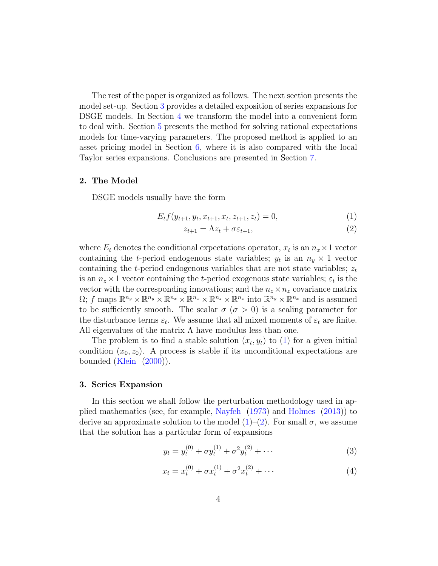The rest of the paper is organized as follows. The next section presents the model set-up. Section [3](#page-4-0) provides a detailed exposition of series expansions for DSGE models. In Section [4](#page-7-0) we transform the model into a convenient form to deal with. Section [5](#page-10-0) presents the method for solving rational expectations models for time-varying parameters. The proposed method is applied to an asset pricing model in Section [6,](#page-17-0) where it is also compared with the local Taylor series expansions. Conclusions are presented in Section [7.](#page-22-0)

### 2. The Model

DSGE models usually have the form

<span id="page-4-1"></span>
$$
E_t f(y_{t+1}, y_t, x_{t+1}, x_t, z_{t+1}, z_t) = 0,
$$
\n(1)

$$
z_{t+1} = \Lambda z_t + \sigma \varepsilon_{t+1},\tag{2}
$$

where  $E_t$  denotes the conditional expectations operator,  $x_t$  is an  $n_x \times 1$  vector containing the *t*-period endogenous state variables;  $y_t$  is an  $n_y \times 1$  vector containing the t-period endogenous variables that are not state variables;  $z_t$ is an  $n_z \times 1$  vector containing the *t*-period exogenous state variables;  $\varepsilon_t$  is the vector with the corresponding innovations; and the  $n_z \times n_z$  covariance matrix  $\Omega$ ; f maps  $\mathbb{R}^{n_y} \times \mathbb{R}^{n_y} \times \mathbb{R}^{n_x} \times \mathbb{R}^{n_x} \times \mathbb{R}^{n_z} \times \mathbb{R}^{n_z}$  into  $\mathbb{R}^{n_y} \times \mathbb{R}^{n_x}$  and is assumed to be sufficiently smooth. The scalar  $\sigma$  ( $\sigma > 0$ ) is a scaling parameter for the disturbance terms  $\varepsilon_t$ . We assume that all mixed moments of  $\varepsilon_t$  are finite. All eigenvalues of the matrix  $\Lambda$  have modulus less than one.

The problem is to find a stable solution  $(x_t, y_t)$  to  $(1)$  for a given initial condition  $(x_0, z_0)$ . A process is stable if its unconditional expectations are bounded [\(Klein](#page-34-3) [\(2000\)](#page-34-3)).

### <span id="page-4-0"></span>3. Series Expansion

In this section we shall follow the perturbation methodology used in applied mathematics (see, for example, [Nayfeh](#page-34-4) [\(1973\)](#page-34-4) and [Holmes](#page-33-7) [\(2013\)](#page-33-7)) to derive an approximate solution to the model  $(1)-(2)$  $(1)-(2)$  $(1)-(2)$ . For small  $\sigma$ , we assume that the solution has a particular form of expansions

<span id="page-4-2"></span>
$$
y_t = y_t^{(0)} + \sigma y_t^{(1)} + \sigma^2 y_t^{(2)} + \cdots
$$
 (3)

<span id="page-4-3"></span>
$$
x_t = x_t^{(0)} + \sigma x_t^{(1)} + \sigma^2 x_t^{(2)} + \cdots \tag{4}
$$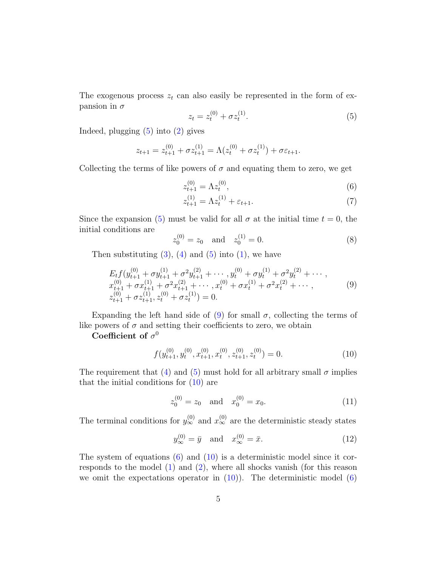The exogenous process  $z_t$  can also easily be represented in the form of expansion in  $\sigma$ 

<span id="page-5-0"></span>
$$
z_t = z_t^{(0)} + \sigma z_t^{(1)}.
$$
\n(5)

Indeed, plugging  $(5)$  into  $(2)$  gives

$$
z_{t+1} = z_{t+1}^{(0)} + \sigma z_{t+1}^{(1)} = \Lambda (z_t^{(0)} + \sigma z_t^{(1)}) + \sigma \varepsilon_{t+1}.
$$

Collecting the terms of like powers of  $\sigma$  and equating them to zero, we get

<span id="page-5-3"></span>
$$
z_{t+1}^{(0)} = \Lambda z_t^{(0)},\tag{6}
$$

$$
z_{t+1}^{(1)} = \Lambda z_t^{(1)} + \varepsilon_{t+1}.\tag{7}
$$

Since the expansion [\(5\)](#page-5-0) must be valid for all  $\sigma$  at the initial time  $t = 0$ , the initial conditions are

<span id="page-5-6"></span>
$$
z_0^{(0)} = z_0 \quad \text{and} \quad z_0^{(1)} = 0. \tag{8}
$$

Then substituting  $(3)$ ,  $(4)$  and  $(5)$  into  $(1)$ , we have

<span id="page-5-1"></span>
$$
E_t f(y_{t+1}^{(0)} + \sigma y_{t+1}^{(1)} + \sigma^2 y_{t+1}^{(2)} + \cdots, y_t^{(0)} + \sigma y_t^{(1)} + \sigma^2 y_t^{(2)} + \cdots, x_{t+1}^{(0)} + \sigma x_{t+1}^{(1)} + \sigma^2 x_{t+1}^{(2)} + \cdots, x_t^{(0)} + \sigma x_t^{(1)} + \sigma^2 x_t^{(2)} + \cdots, z_{t+1}^{(0)} + \sigma z_{t+1}^{(1)}, z_t^{(0)} + \sigma z_t^{(1)}) = 0.
$$
\n(9)

Expanding the left hand side of [\(9\)](#page-5-1) for small  $\sigma$ , collecting the terms of like powers of  $\sigma$  and setting their coefficients to zero, we obtain

Coefficient of  $\sigma^0$ 

<span id="page-5-2"></span>
$$
f(y_{t+1}^{(0)}, y_t^{(0)}, x_{t+1}^{(0)}, x_t^{(0)}, z_{t+1}^{(0)}, z_t^{(0)}) = 0.
$$
 (10)

The requirement that [\(4\)](#page-4-3) and [\(5\)](#page-5-0) must hold for all arbitrary small  $\sigma$  implies that the initial conditions for [\(10\)](#page-5-2) are

<span id="page-5-4"></span>
$$
z_0^{(0)} = z_0 \quad \text{and} \quad x_0^{(0)} = x_0. \tag{11}
$$

The terminal conditions for  $y_{\infty}^{(0)}$  and  $x_{\infty}^{(0)}$  are the deterministic steady states

<span id="page-5-5"></span>
$$
y_{\infty}^{(0)} = \bar{y}
$$
 and  $x_{\infty}^{(0)} = \bar{x}$ . (12)

The system of equations  $(6)$  and  $(10)$  is a deterministic model since it corresponds to the model  $(1)$  and  $(2)$ , where all shocks vanish (for this reason we omit the expectations operator in  $(10)$ ). The deterministic model  $(6)$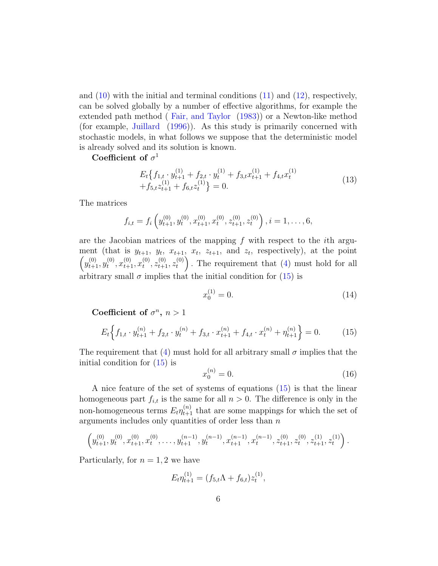and  $(10)$  with the initial and terminal conditions  $(11)$  and  $(12)$ , respectively, can be solved globally by a number of effective algorithms, for example the extended path method ( [Fair, and Taylor](#page-33-8) [\(1983\)](#page-33-8)) or a Newton-like method (for example, [Juillard](#page-33-9) [\(1996\)](#page-33-9)). As this study is primarily concerned with stochastic models, in what follows we suppose that the deterministic model is already solved and its solution is known.

Coefficient of  $\sigma$ <sup>1</sup>

$$
E_t \left\{ f_{1,t} \cdot y_{t+1}^{(1)} + f_{2,t} \cdot y_t^{(1)} + f_{3,t} x_{t+1}^{(1)} + f_{4,t} x_t^{(1)} + f_{5,t} z_{t+1}^{(1)} + f_{6,t} z_t^{(1)} \right\} = 0.
$$
\n(13)

The matrices

$$
f_{i,t} = f_i\left(y_{t+1}^{(0)}, y_t^{(0)}, x_{t+1}^{(0)}, x_t^{(0)}, z_{t+1}^{(0)}, z_t^{(0)}\right), i = 1, \ldots, 6,
$$

are the Jacobian matrices of the mapping  $f$  with respect to the *i*th argument (that is  $y_{t+1}$ ,  $y_t$ ,  $x_{t+1}$ ,  $x_t$ ,  $z_{t+1}$ , and  $z_t$ , respectively), at the point  $\left(y_{t+1}^{(0)}, y_t^{(0)}\right)$  $x_{t+1}^{(0)}, x_{t+1}^{(0)}, x_t^{(0)}$  $t^{(0)}, z_{t+1}^{(0)}, z_t^{(0)}$  $t<sub>t</sub><sup>(0)</sup>$ ). The requirement that [\(4\)](#page-4-3) must hold for all arbitrary small  $\sigma$  implies that the initial condition for [\(15\)](#page-6-0) is

<span id="page-6-2"></span>
$$
x_0^{(1)} = 0.\t\t(14)
$$

Coefficient of  $\sigma^n$ ,  $n > 1$ 

<span id="page-6-0"></span>
$$
E_t \left\{ f_{1,t} \cdot y_{t+1}^{(n)} + f_{2,t} \cdot y_t^{(n)} + f_{3,t} \cdot x_{t+1}^{(n)} + f_{4,t} \cdot x_t^{(n)} + \eta_{t+1}^{(n)} \right\} = 0. \tag{15}
$$

The requirement that [\(4\)](#page-4-3) must hold for all arbitrary small  $\sigma$  implies that the initial condition for [\(15\)](#page-6-0) is

<span id="page-6-1"></span>
$$
x_0^{(n)} = 0.\t(16)
$$

A nice feature of the set of systems of equations [\(15\)](#page-6-0) is that the linear homogeneous part  $f_{i,t}$  is the same for all  $n > 0$ . The difference is only in the non-homogeneous terms  $E_t \eta_{t+1}^{(n)}$  that are some mappings for which the set of arguments includes only quantities of order less than  $n$ 

$$
\left(y_{t+1}^{(0)}, y_t^{(0)}, x_{t+1}^{(0)}, x_t^{(0)}, \ldots, y_{t+1}^{(n-1)}, y_t^{(n-1)}, x_{t+1}^{(n-1)}, x_t^{(n-1)}, z_{t+1}^{(0)}, z_{t+1}^{(0)}, z_{t+1}^{(1)}, z_t^{(1)}\right).
$$

Particularly, for  $n = 1, 2$  we have

$$
E_t \eta_{t+1}^{(1)} = (f_{5,t} \Lambda + f_{6,t}) z_t^{(1)},
$$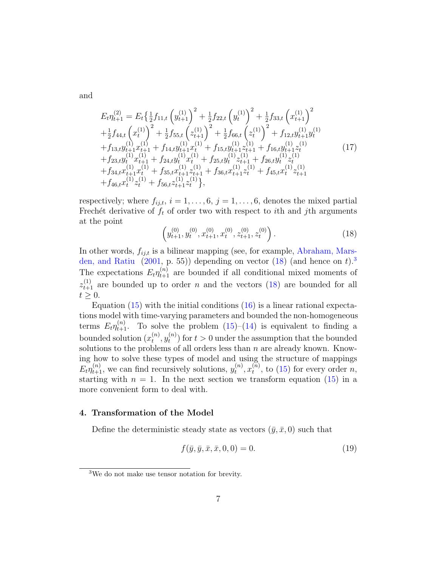and

<span id="page-7-3"></span>
$$
E_{t}\eta_{t+1}^{(2)} = E_{t}\left\{\frac{1}{2}f_{11,t}\left(y_{t+1}^{(1)}\right)^{2} + \frac{1}{2}f_{22,t}\left(y_{t}^{(1)}\right)^{2} + \frac{1}{2}f_{33,t}\left(x_{t+1}^{(1)}\right)^{2} + \frac{1}{2}f_{44,t}\left(x_{t}^{(1)}\right)^{2} + \frac{1}{2}f_{55,t}\left(z_{t+1}^{(1)}\right)^{2} + \frac{1}{2}f_{66,t}\left(z_{t}^{(1)}\right)^{2} + f_{12,t}y_{t+1}^{(1)}y_{t}^{(1)} + f_{13,t}y_{t+1}^{(1)}x_{t+1}^{(1)} + f_{14,t}y_{t+1}^{(1)}x_{t}^{(1)} + f_{15,t}y_{t+1}^{(1)}z_{t+1}^{(1)} + f_{16,t}y_{t+1}^{(1)}z_{t}^{(1)} + f_{23,t}y_{t}^{(1)}x_{t+1}^{(1)} + f_{24,t}y_{t}^{(1)}x_{t}^{(1)} + f_{25,t}y_{t}^{(1)}z_{t+1}^{(1)} + f_{26,t}y_{t}^{(1)}z_{t+1}^{(1)} + f_{34,t}x_{t+1}^{(1)}x_{t}^{(1)} + f_{35,t}x_{t+1}^{(1)}z_{t+1}^{(1)} + f_{36,t}x_{t+1}^{(1)}z_{t}^{(1)} + f_{45,t}x_{t}^{(1)}z_{t+1}^{(1)} + f_{46,t}x_{t}^{(1)}z_{t}^{(1)} + f_{56,t}z_{t+1}^{(1)}z_{t}^{(1)}\right),
$$
\n(17)

respectively; where  $f_{ij,t}$ ,  $i = 1, \ldots, 6$ ,  $j = 1, \ldots, 6$ , denotes the mixed partial Frechét derivative of  $f_t$  of order two with respect to ith and jth arguments at the point

<span id="page-7-1"></span>
$$
\left(y_{t+1}^{(0)}, y_t^{(0)}, x_{t+1}^{(0)}, x_t^{(0)}, z_{t+1}^{(0)}, z_t^{(0)}\right). \tag{18}
$$

In other words,  $f_{ij,t}$  is a bilinear mapping (see, for example, [Abraham, Mars](#page-32-4)[den, and Ratiu](#page-32-4)  $(2001, p. 55)$  $(2001, p. 55)$  depending on vector  $(18)$  (and hence on t).<sup>[3](#page-7-2)</sup> The expectations  $E_t \eta_{t+1}^{(n)}$  are bounded if all conditional mixed moments of  $z_{t+1}^{(1)}$  are bounded up to order n and the vectors [\(18\)](#page-7-1) are bounded for all  $t \geq 0$ .

Equation  $(15)$  with the initial conditions  $(16)$  is a linear rational expectations model with time-varying parameters and bounded the non-homogeneous terms  $E_t \eta_{t+1}^{(n)}$ . To solve the problem [\(15\)](#page-6-0)–[\(14\)](#page-6-2) is equivalent to finding a bounded solution  $(x_t^{(n)})$  $_{t}^{\left( n\right) },y_{t}^{\left( n\right) }$  $t<sup>(n)</sup>$  for  $t > 0$  under the assumption that the bounded solutions to the problems of all orders less than  $n$  are already known. Knowing how to solve these types of model and using the structure of mappings  $E_t \eta_{t+1}^{(n)}$ , we can find recursively solutions,  $y_t^{(n)}$  $_{t}^{\left( n\right) },x_{t}^{\left( \widetilde{n}\right) }$  $t^{(n)}$ , to [\(15\)](#page-6-0) for every order *n*, starting with  $n = 1$ . In the next section we transform equation [\(15\)](#page-6-0) in a more convenient form to deal with.

### <span id="page-7-0"></span>4. Transformation of the Model

Define the deterministic steady state as vectors  $(\bar{y}, \bar{x}, 0)$  such that

$$
f(\bar{y}, \bar{y}, \bar{x}, \bar{x}, 0, 0) = 0.
$$
 (19)

<span id="page-7-2"></span><sup>3</sup>We do not make use tensor notation for brevity.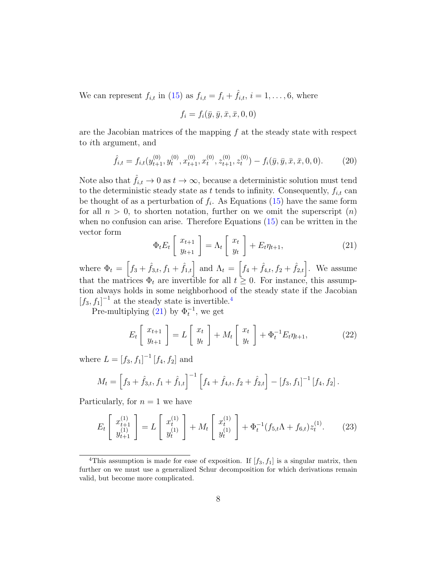We can represent  $f_{i,t}$  in [\(15\)](#page-6-0) as  $f_{i,t} = f_i + \hat{f}_{i,t}, i = 1, \ldots, 6$ , where

$$
f_i = f_i(\bar{y}, \bar{y}, \bar{x}, \bar{x}, 0, 0)
$$

are the Jacobian matrices of the mapping  $f$  at the steady state with respect to ith argument, and

$$
\hat{f}_{i,t} = f_{i,t}(y_{t+1}^{(0)}, y_t^{(0)}, x_{t+1}^{(0)}, x_t^{(0)}, z_{t+1}^{(0)}, z_t^{(0)}) - f_i(\bar{y}, \bar{y}, \bar{x}, \bar{x}, 0, 0). \tag{20}
$$

Note also that  $\hat{f}_{i,t} \to 0$  as  $t \to \infty$ , because a deterministic solution must tend to the deterministic steady state as t tends to infinity. Consequently,  $f_{i,t}$  can be thought of as a perturbation of  $f_i$ . As Equations [\(15\)](#page-6-0) have the same form for all  $n > 0$ , to shorten notation, further on we omit the superscript  $(n)$ when no confusion can arise. Therefore Equations [\(15\)](#page-6-0) can be written in the vector form

<span id="page-8-1"></span>
$$
\Phi_t E_t \left[ \begin{array}{c} x_{t+1} \\ y_{t+1} \end{array} \right] = \Lambda_t \left[ \begin{array}{c} x_t \\ y_t \end{array} \right] + E_t \eta_{t+1}, \tag{21}
$$

where  $\Phi_t = \left[ f_3 + \hat{f}_{3,t}, f_1 + \hat{f}_{1,t} \right]$  and  $\Lambda_t = \left[ f_4 + \hat{f}_{4,t}, f_2 + \hat{f}_{2,t} \right]$ . We assume that the matrices  $\Phi_t$  are invertible for all  $t \geq 0$ . For instance, this assumption always holds in some neighborhood of the steady state if the Jacobian  $[f_3, f_1]^{-1}$  at the steady state is invertible.<sup>[4](#page-8-0)</sup>

Pre-multiplying [\(21\)](#page-8-1) by  $\Phi_t^{-1}$ , we get

<span id="page-8-2"></span>
$$
E_t\left[\begin{array}{c} x_{t+1} \\ y_{t+1} \end{array}\right] = L\left[\begin{array}{c} x_t \\ y_t \end{array}\right] + M_t\left[\begin{array}{c} x_t \\ y_t \end{array}\right] + \Phi_t^{-1} E_t \eta_{t+1},\tag{22}
$$

where  $L = [f_3, f_1]^{-1} [f_4, f_2]$  and

$$
M_t = \left[ f_3 + \hat{f}_{3,t}, f_1 + \hat{f}_{1,t} \right]^{-1} \left[ f_4 + \hat{f}_{4,t}, f_2 + \hat{f}_{2,t} \right] - \left[ f_3, f_1 \right]^{-1} \left[ f_4, f_2 \right].
$$

Particularly, for  $n = 1$  we have

$$
E_t\begin{bmatrix} x_{t+1}^{(1)} \\ y_{t+1}^{(1)} \end{bmatrix} = L\begin{bmatrix} x_t^{(1)} \\ y_t^{(1)} \end{bmatrix} + M_t \begin{bmatrix} x_t^{(1)} \\ y_t^{(1)} \end{bmatrix} + \Phi_t^{-1}(f_{5,t}\Lambda + f_{6,t})z_t^{(1)}.
$$
 (23)

<span id="page-8-0"></span><sup>&</sup>lt;sup>4</sup>This assumption is made for ease of exposition. If  $[f_3, f_1]$  is a singular matrix, then further on we must use a generalized Schur decomposition for which derivations remain valid, but become more complicated.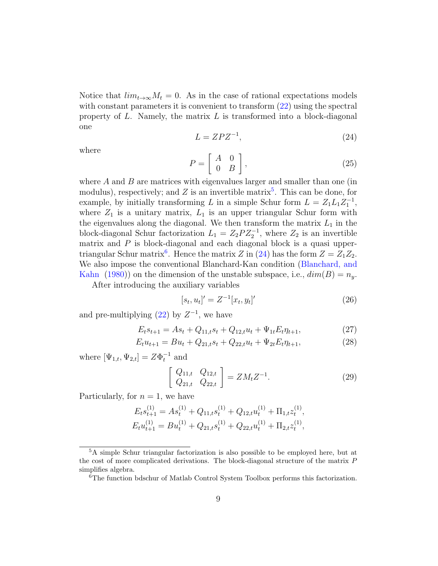Notice that  $\lim_{t\to\infty}M_t=0$ . As in the case of rational expectations models with constant parameters it is convenient to transform  $(22)$  using the spectral property of  $L$ . Namely, the matrix  $L$  is transformed into a block-diagonal one

<span id="page-9-2"></span>
$$
L = ZPZ^{-1},\tag{24}
$$

where

<span id="page-9-6"></span>
$$
P = \left[ \begin{array}{cc} A & 0 \\ 0 & B \end{array} \right],\tag{25}
$$

where  $A$  and  $B$  are matrices with eigenvalues larger and smaller than one (in modulus), respectively; and Z is an invertible matrix<sup>[5](#page-9-0)</sup>. This can be done, for example, by initially transforming L in a simple Schur form  $L = Z_1 L_1 Z_1^{-1}$ , where  $Z_1$  is a unitary matrix,  $L_1$  is an upper triangular Schur form with the eigenvalues along the diagonal. We then transform the matrix  $L_1$  in the block-diagonal Schur factorization  $L_1 = Z_2 P Z_2^{-1}$ , where  $Z_2$  is an invertible matrix and  $P$  is block-diagonal and each diagonal block is a quasi upper-triangular Schur matrix<sup>[6](#page-9-1)</sup>. Hence the matrix Z in [\(24\)](#page-9-2) has the form  $Z = Z_1 Z_2$ . We also impose the conventional Blanchard-Kan condition [\(Blanchard, and](#page-32-5) [Kahn](#page-32-5) [\(1980\)](#page-32-5)) on the dimension of the unstable subspace, i.e.,  $dim(B) = n_y$ .

After introducing the auxiliary variables

<span id="page-9-5"></span><span id="page-9-4"></span><span id="page-9-3"></span>
$$
[s_t, u_t]' = Z^{-1}[x_t, y_t]'
$$
\n(26)

and pre-multiplying  $(22)$  by  $Z^{-1}$ , we have

$$
E_t s_{t+1} = A s_t + Q_{11,t} s_t + Q_{12,t} u_t + \Psi_{1t} E_t \eta_{t+1}, \tag{27}
$$

$$
E_t u_{t+1} = B u_t + Q_{21,t} s_t + Q_{22,t} u_t + \Psi_{2t} E_t \eta_{t+1}, \tag{28}
$$

where  $[\Psi_{1,t}, \Psi_{2,t}] = Z\Phi_t^{-1}$  and

$$
\left[\begin{array}{cc} Q_{11,t} & Q_{12,t} \\ Q_{21,t} & Q_{22,t} \end{array}\right] = Z M_t Z^{-1}.
$$
\n(29)

Particularly, for  $n = 1$ , we have

$$
E_t s_{t+1}^{(1)} = A s_t^{(1)} + Q_{11,t} s_t^{(1)} + Q_{12,t} u_t^{(1)} + \Pi_{1,t} z_t^{(1)},
$$
  

$$
E_t u_{t+1}^{(1)} = B u_t^{(1)} + Q_{21,t} s_t^{(1)} + Q_{22,t} u_t^{(1)} + \Pi_{2,t} z_t^{(1)},
$$

<span id="page-9-0"></span><sup>5</sup>A simple Schur triangular factorization is also possible to be employed here, but at the cost of more complicated derivations. The block-diagonal structure of the matrix P simplifies algebra.

<span id="page-9-1"></span><sup>6</sup>The function bdschur of Matlab Control System Toolbox performs this factorization.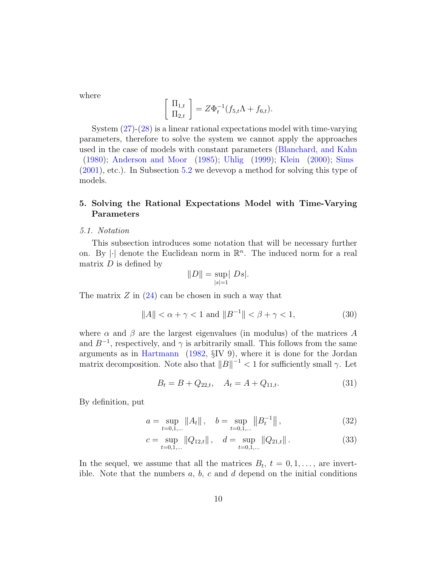where

$$
\frac{\Pi_{1,t}}{\Pi_{2,t}}\,\bigg] = Z\Phi_t^{-1}(f_{5,t}\Lambda + f_{6,t}).
$$

System [\(27\)](#page-9-3)-[\(28\)](#page-9-4) is a linear rational expectations model with time-varying parameters, therefore to solve the system we cannot apply the approaches used in the case of models with constant parameters [\(Blanchard, and Kahn](#page-32-5) [\(1980\)](#page-32-5); [Anderson and Moor](#page-32-6) [\(1985\)](#page-32-6); [Uhlig](#page-34-5) [\(1999\)](#page-34-5); [Klein](#page-34-3) [\(2000\)](#page-34-3); [Sims](#page-34-6) [\(2001\)](#page-34-6), etc.). In Subsection [5.2](#page-11-0) we devevop a method for solving this type of models.

## <span id="page-10-0"></span>5. Solving the Rational Expectations Model with Time-Varying Parameters

### <span id="page-10-4"></span>5.1. Notation

This subsection introduces some notation that will be necessary further on. By  $|\cdot|$  denote the Euclidean norm in  $\mathbb{R}^n$ . The induced norm for a real matrix  $D$  is defined by

$$
||D|| = \sup_{|s|=1} |Ds|.
$$

The matrix  $Z$  in  $(24)$  can be chosen in such a way that

 $\sqrt{ }$ 

$$
||A|| < \alpha + \gamma < 1 \text{ and } ||B^{-1}|| < \beta + \gamma < 1,
$$
 (30)

where  $\alpha$  and  $\beta$  are the largest eigenvalues (in modulus) of the matrices A and  $B^{-1}$ , respectively, and  $\gamma$  is arbitrarily small. This follows from the same arguments as in [Hartmann](#page-33-10) [\(1982,](#page-33-10) §IV 9), where it is done for the Jordan matrix decomposition. Note also that  $||B||^{-1} < 1$  for sufficiently small  $\gamma$ . Let

<span id="page-10-3"></span><span id="page-10-2"></span><span id="page-10-1"></span>
$$
B_t = B + Q_{22,t}, \quad A_t = A + Q_{11,t}.
$$
\n(31)

By definition, put

$$
a = \sup_{t=0,1,\dots} \|A_t\|, \quad b = \sup_{t=0,1,\dots} \|B_t^{-1}\|,
$$
\n(32)

$$
c = \sup_{t=0,1,\dots} \|Q_{12,t}\|, \quad d = \sup_{t=0,1,\dots} \|Q_{21,t}\|.
$$
 (33)

In the sequel, we assume that all the matrices  $B_t$ ,  $t = 0, 1, \ldots$ , are invertible. Note that the numbers  $a, b, c$  and  $d$  depend on the initial conditions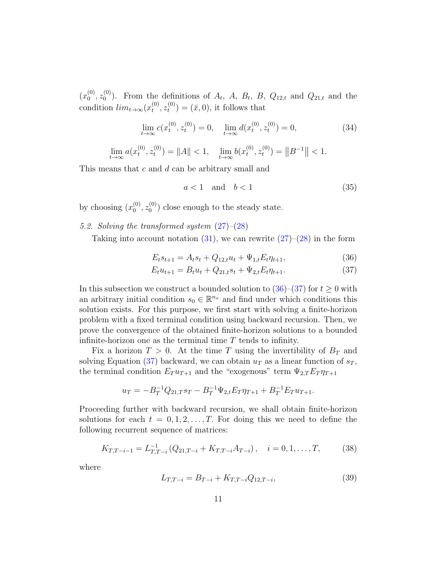$(x_0^{(0)}$  $\overset{(0)}{0},\overset{(0)}{z_0^{(0)}}$  $\binom{0}{0}$ . From the definitions of  $A_t$ ,  $A$ ,  $B_t$ ,  $B$ ,  $Q_{12,t}$  and  $Q_{21,t}$  and the condition  $lim_{t\to\infty} (x_t^{(0)}$  $\overset{(0)}{t},z_t^{(0)}$  $t_t^{(0)}$  =  $(\bar{x}, 0)$ , it follows that

<span id="page-11-5"></span>
$$
\lim_{t \to \infty} c(x_t^{(0)}, z_t^{(0)}) = 0, \quad \lim_{t \to \infty} d(x_t^{(0)}, z_t^{(0)}) = 0,\tag{34}
$$

$$
\lim_{t \to \infty} a(x_t^{(0)}, z_t^{(0)}) = ||A|| < 1, \quad \lim_{t \to \infty} b(x_t^{(0)}, z_t^{(0)}) = ||B^{-1}|| < 1.
$$

This means that c and d can be arbitrary small and

<span id="page-11-6"></span><span id="page-11-2"></span><span id="page-11-1"></span>
$$
a < 1 \quad \text{and} \quad b < 1 \tag{35}
$$

by choosing  $(x_0^{(0)}$  $\overset{(0)}{0}, \overset{(0)}{z_0^{(0)}}$  $\binom{0}{0}$  close enough to the steady state.

<span id="page-11-0"></span>5.2. Solving the transformed system [\(27\)](#page-9-3)–[\(28\)](#page-9-4)

Taking into account notation  $(31)$ , we can rewrite  $(27)-(28)$  $(27)-(28)$  $(27)-(28)$  in the form

$$
E_t s_{t+1} = A_t s_t + Q_{12,t} u_t + \Psi_{1,t} E_t \eta_{t+1},
$$
\n(36)

$$
E_t u_{t+1} = B_t u_t + Q_{21,t} s_t + \Psi_{2,t} E_t \eta_{t+1}.
$$
\n(37)

In this subsection we construct a bounded solution to  $(36)–(37)$  $(36)–(37)$  $(36)–(37)$  for  $t \ge 0$  with an arbitrary initial condition  $s_0 \in \mathbb{R}^{n_x}$  and find under which conditions this solution exists. For this purpose, we first start with solving a finite-horizon problem with a fixed terminal condition using backward recursion. Then, we prove the convergence of the obtained finite-horizon solutions to a bounded infinite-horizon one as the terminal time  $T$  tends to infinity.

Fix a horizon  $T > 0$ . At the time T using the invertibility of  $B_T$  and solving Equation [\(37\)](#page-11-2) backward, we can obtain  $u_T$  as a linear function of  $s_T$ , the terminal condition  $E_T u_{T+1}$  and the "exogenous" term  $\Psi_{2,T} E_T \eta_{T+1}$ 

$$
u_T = -B_T^{-1}Q_{21,T} s_T - B_T^{-1} \Psi_{2,t} E_T \eta_{T+1} + B_T^{-1} E_T u_{T+1}.
$$

Proceeding further with backward recursion, we shall obtain finite-horizon solutions for each  $t = 0, 1, 2, \ldots, T$ . For doing this we need to define the following recurrent sequence of matrices:

<span id="page-11-3"></span>
$$
K_{T,T-i-1} = L_{T,T-i}^{-1} (Q_{21,T-i} + K_{T,T-i} A_{T-i}), \quad i = 0, 1, ..., T,
$$
 (38)

where

<span id="page-11-4"></span>
$$
L_{T,T-i} = B_{T-i} + K_{T,T-i} Q_{12,T-i},
$$
\n(39)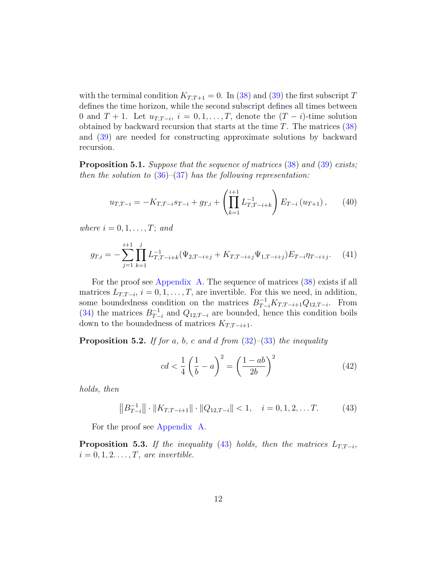with the terminal condition  $K_{T,T+1} = 0$ . In [\(38\)](#page-11-3) and [\(39\)](#page-11-4) the first subscript T defines the time horizon, while the second subscript defines all times between 0 and  $T + 1$ . Let  $u_{T,T-i}$ ,  $i = 0, 1, \ldots, T$ , denote the  $(T - i)$ -time solution obtained by backward recursion that starts at the time  $T$ . The matrices  $(38)$ and [\(39\)](#page-11-4) are needed for constructing approximate solutions by backward recursion.

<span id="page-12-4"></span>**Proposition 5.1.** Suppose that the sequence of matrices [\(38\)](#page-11-3) and [\(39\)](#page-11-4) exists; then the solution to  $(36)$ – $(37)$  has the following representation:

<span id="page-12-1"></span>
$$
u_{T,T-i} = -K_{T,T-i} s_{T-i} + g_{T,i} + \left(\prod_{k=1}^{i+1} L_{T,T-i+k}^{-1}\right) E_{T-i} \left(u_{T+1}\right),\qquad(40)
$$

where  $i = 0, 1, \ldots, T$ ; and

<span id="page-12-3"></span>
$$
g_{T,i} = -\sum_{j=1}^{i+1} \prod_{k=1}^j L_{T,T-i+k}^{-1} (\Psi_{2,T-i+j} + K_{T,T-i+j} \Psi_{1,T-i+j}) E_{T-i} \eta_{T-i+j}.
$$
 (41)

For the proof see [Appendix A.](#page-22-1) The sequence of matrices [\(38\)](#page-11-3) exists if all matrices  $L_{T,T-i}$ ,  $i = 0, 1, \ldots, T$ , are invertible. For this we need, in addition, some boundedness condition on the matrices  $B_{T-i}^{-1}K_{T,T-i+1}Q_{12,T-i}$ . From  $(34)$  the matrices  $B_{T-}^{-1}$  $T_{T-i}^{-1}$  and  $Q_{12,T-i}$  are bounded, hence this condition boils down to the boundedness of matrices  $K_{T,T-i+1}$ .

<span id="page-12-5"></span>**Proposition 5.2.** If for a, b, c and d from  $(32)$ – $(33)$  the inequality

<span id="page-12-2"></span>
$$
cd < \frac{1}{4} \left( \frac{1}{b} - a \right)^2 = \left( \frac{1 - ab}{2b} \right)^2 \tag{42}
$$

holds, then

<span id="page-12-0"></span>
$$
\|B_{T-i}^{-1}\| \cdot \|K_{T,T-i+1}\| \cdot \|Q_{12,T-i}\| < 1, \quad i = 0, 1, 2, \dots T. \tag{43}
$$

For the proof see [Appendix A.](#page-22-1)

<span id="page-12-6"></span>**Proposition 5.3.** If the inequality [\(43\)](#page-12-0) holds, then the matrices  $L_{T,T-i}$ ,  $i = 0, 1, 2, \ldots, T$ , are invertible.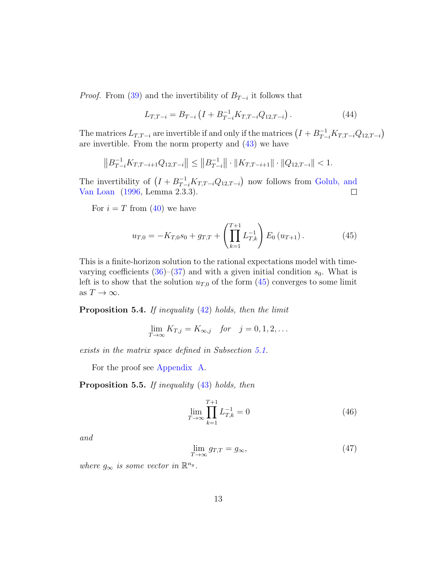*Proof.* From [\(39\)](#page-11-4) and the invertibility of  $B_{T-i}$  it follows that

$$
L_{T,T-i} = B_{T-i} \left( I + B_{T-i}^{-1} K_{T,T-i} Q_{12,T-i} \right). \tag{44}
$$

The matrices  $L_{T,T-i}$  are invertible if and only if the matrices  $(I + B_{T-i}^{-1} K_{T,T-i} Q_{12,T-i})$ are invertible. From the norm property and [\(43\)](#page-12-0) we have

$$
||B_{T-i}^{-1}K_{T,T-i+1}Q_{12,T-i}|| \le ||B_{T-i}^{-1}|| \cdot ||K_{T,T-i+1}|| \cdot ||Q_{12,T-i}|| < 1.
$$

The invertibility of  $(I + B_{T-i}^{-1} K_{T,T-i} Q_{12,T-i})$  now follows from [Golub, and](#page-33-11) [Van Loan](#page-33-11) [\(1996,](#page-33-11) Lemma 2.3.3).  $\Box$ 

For  $i = T$  from [\(40\)](#page-12-1) we have

<span id="page-13-0"></span>
$$
u_{T,0} = -K_{T,0} s_0 + g_{T,T} + \left(\prod_{k=1}^{T+1} L_{T,k}^{-1}\right) E_0\left(u_{T+1}\right). \tag{45}
$$

This is a finite-horizon solution to the rational expectations model with timevarying coefficients  $(36)-(37)$  $(36)-(37)$  $(36)-(37)$  and with a given initial condition  $s_0$ . What is left is to show that the solution  $u_{T,0}$  of the form  $(45)$  converges to some limit as  $T \to \infty$ .

<span id="page-13-1"></span>Proposition 5.4. If inequality [\(42\)](#page-12-2) holds, then the limit

$$
\lim_{T \to \infty} K_{T,j} = K_{\infty,j} \quad \text{for} \quad j = 0, 1, 2, \dots
$$

exists in the matrix space defined in Subsection [5.1.](#page-10-4)

For the proof see [Appendix A.](#page-22-1)

<span id="page-13-3"></span>Proposition 5.5. If inequality  $(43)$  holds, then

<span id="page-13-2"></span>
$$
\lim_{T \to \infty} \prod_{k=1}^{T+1} L_{T,k}^{-1} = 0 \tag{46}
$$

and

$$
\lim_{T \to \infty} g_{T,T} = g_{\infty},\tag{47}
$$

where  $g_{\infty}$  is some vector in  $\mathbb{R}^{n_y}$ .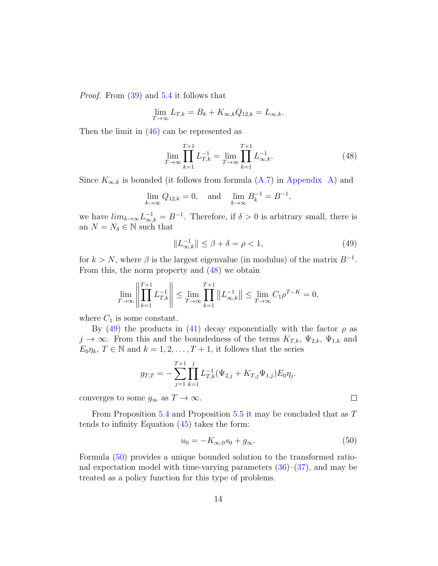Proof. From [\(39\)](#page-11-4) and [5.4](#page-13-1) it follows that

$$
\lim_{T \to \infty} L_{T,k} = B_k + K_{\infty,k} Q_{12,k} = L_{\infty,k}.
$$

Then the limit in [\(46\)](#page-13-2) can be represented as

<span id="page-14-0"></span>
$$
\lim_{T \to \infty} \prod_{k=1}^{T+1} L_{T,k}^{-1} = \lim_{T \to \infty} \prod_{k=1}^{T+1} L_{\infty,k}^{-1}.
$$
\n(48)

Since  $K_{\infty,k}$  is bounded (it follows from formula [\(A.7\)](#page-25-0) in [Appendix A\)](#page-22-1) and

$$
\lim_{k \to \infty} Q_{12,k} = 0
$$
, and  $\lim_{k \to \infty} B_k^{-1} = B^{-1}$ ,

we have  $\lim_{k\to\infty} L^{-1}_{\infty,k} = B^{-1}$ . Therefore, if  $\delta > 0$  is arbitrary small, there is an  $N=N_\delta\in\mathbb{N}$  such that

<span id="page-14-1"></span>
$$
||L_{\infty,k}^{-1}|| \le \beta + \delta = \rho < 1,
$$
\n(49)

for  $k > N$ , where  $\beta$  is the largest eigenvalue (in modulus) of the matrix  $B^{-1}$ . From this, the norm property and [\(48\)](#page-14-0) we obtain

$$
\lim_{T \to \infty} \left\| \prod_{k=1}^{T+1} L_{T,k}^{-1} \right\| \le \lim_{T \to \infty} \prod_{k=1}^{T+1} \left\| L_{\infty,k}^{-1} \right\| \le \lim_{T \to \infty} C_1 \rho^{T-K} = 0,
$$

where  $C_1$  is some constant.

By [\(49\)](#page-14-1) the products in [\(41\)](#page-12-3) decay exponentially with the factor  $\rho$  as  $j \to \infty$ . From this and the boundedness of the terms  $K_{T,k}$ ,  $\Psi_{2,k}$ ,  $\Psi_{1,k}$  and  $E_0 \eta_k$ ,  $T \in \mathbb{N}$  and  $k = 1, 2, \ldots, T + 1$ , it follows that the series

$$
g_{T,T} = -\sum_{j=1}^{T+1} \prod_{k=1}^j L_{T,k}^{-1} (\Psi_{2,j} + K_{T,j} \Psi_{1,j}) E_0 \eta_j.
$$

converges to some  $g_\infty$  as  $T\to\infty.$ 

From Proposition [5.4](#page-13-1) and Proposition [5.5](#page-13-3) it may be concluded that as T tends to infinity Equation [\(45\)](#page-13-0) takes the form:

<span id="page-14-2"></span>
$$
u_0 = -K_{\infty,0} s_0 + g_{\infty}.\tag{50}
$$

 $\Box$ 

Formula [\(50\)](#page-14-2) provides a unique bounded solution to the transformed rational expectation model with time-varying parameters  $(36)$ – $(37)$ , and may be treated as a policy function for this type of problems.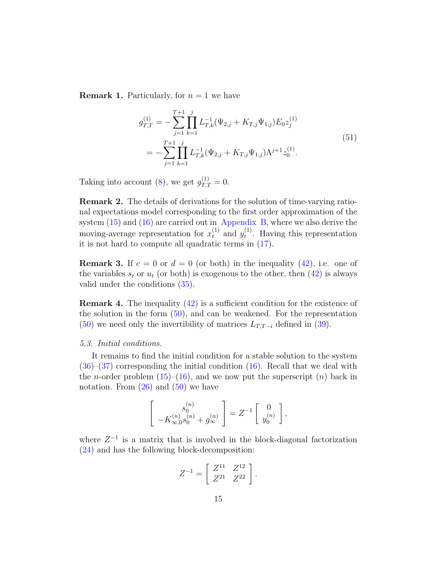**Remark 1.** Particularly, for  $n = 1$  we have

$$
g_{T,T}^{(1)} = -\sum_{j=1}^{T+1} \prod_{k=1}^{j} L_{T,k}^{-1} (\Psi_{2,j} + K_{T,j} \Psi_{1,j}) E_0 z_j^{(1)}
$$
  
= 
$$
-\sum_{j=1}^{T+1} \prod_{k=1}^{j} L_{T,k}^{-1} (\Psi_{2,j} + K_{T,j} \Psi_{1,j}) \Lambda^{j+1} z_0^{(1)}.
$$
 (51)

Taking into account [\(8\)](#page-5-6), we get  $g_{T,T}^{(1)} = 0$ .

Remark 2. The details of derivations for the solution of time-varying rational expectations model corresponding to the first order approximation of the system  $(15)$  and  $(16)$  are carried out in [Appendix B,](#page-28-0) where we also derive the moving-average representation for  $x_t^{(1)}$  and  $y_t^{(1)}$  $t^{(1)}$ . Having this representation it is not hard to compute all quadratic terms in [\(17\)](#page-7-3).

<span id="page-15-0"></span>**Remark 3.** If  $c = 0$  or  $d = 0$  (or both) in the inequality [\(42\)](#page-12-2), i.e. one of the variables  $s_t$  or  $u_t$  (or both) is exogenous to the other, then [\(42\)](#page-12-2) is always valid under the conditions [\(35\)](#page-11-6).

<span id="page-15-1"></span>**Remark 4.** The inequality  $(42)$  is a sufficient condition for the existence of the solution in the form  $(50)$ , and can be weakened. For the representation [\(50\)](#page-14-2) we need only the invertibility of matrices  $L_{T,T-i}$  defined in [\(39\)](#page-11-4).

### 5.3. Initial conditions.

It remains to find the initial condition for a stable solution to the system [\(36\)](#page-11-1)–[\(37\)](#page-11-2) corresponding the initial condition [\(16\)](#page-6-1). Recall that we deal with the *n*-order problem  $(15)$ – $(16)$ , and we now put the superscript  $(n)$  back in notation. From  $(26)$  and  $(50)$  we have

$$
\begin{bmatrix} s_0^{(n)} \\ -K_{\infty,0}^{(n)} s_0^{(n)} + g_\infty^{(n)} \end{bmatrix} = Z^{-1} \begin{bmatrix} 0 \\ y_0^{(n)} \end{bmatrix},
$$

where  $Z^{-1}$  is a matrix that is involved in the block-diagonal factorization [\(24\)](#page-9-2) and has the following block-decomposition:

$$
Z^{-1} = \left[ \begin{array}{cc} Z^{11} & Z^{12} \\ Z^{21} & Z^{22} \end{array} \right].
$$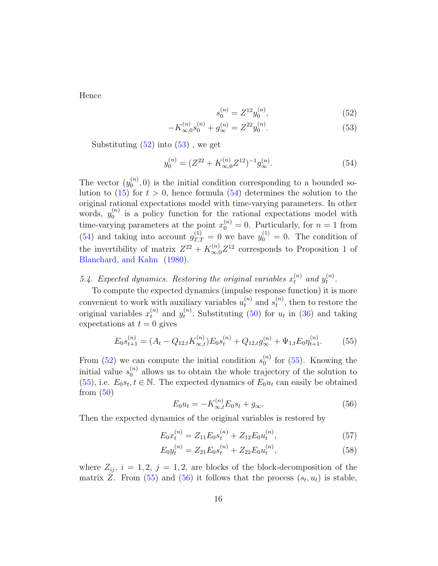Hence

<span id="page-16-1"></span><span id="page-16-0"></span>
$$
s_0^{(n)} = Z^{12} y_0^{(n)},\tag{52}
$$

$$
-K_{\infty,0}^{(n)}s_0^{(n)} + g_{\infty}^{(n)} = Z^{22}y_0^{(n)}.
$$
\n(53)

Substituting  $(52)$  into  $(53)$ , we get

<span id="page-16-2"></span>
$$
y_0^{(n)} = (Z^{22} + K_{\infty,0}^{(n)} Z^{12})^{-1} g_{\infty}^{(n)}.
$$
\n(54)

The vector  $(y_0^{(n)}$  $\binom{n}{0}$ , 0) is the initial condition corresponding to a bounded so-lution to [\(15\)](#page-6-0) for  $t > 0$ , hence formula [\(54\)](#page-16-2) determines the solution to the original rational expectations model with time-varying parameters. In other words,  $y_0^{(n)}$  $\binom{n}{0}$  is a policy function for the rational expectations model with time-varying parameters at the point  $x_0^{(n)} = 0$ . Particularly, for  $n = 1$  from [\(54\)](#page-16-2) and taking into account  $g_{T,T}^{(1)} = 0$  we have  $y_0^{(1)} = 0$ . The condition of the invertibility of matrix  $Z^{22} + K_{\infty,0}^{(n)} Z^{12}$  corresponds to Proposition 1 of [Blanchard, and Kahn](#page-32-5) [\(1980\)](#page-32-5).

#### 5.4. Expected dynamics. Restoring the original variables  $x_t^{(n)}$  and  $y_t^{(n)}$  $\binom{n}{t}$ .

To compute the expected dynamics (impulse response function) it is more convenient to work with auxiliary variables  $u_t^{(n)}$  and  $s_t^{(n)}$ , then to restore the t original variables  $x_t^{(n)}$  and  $y_t^{(n)}$  $t_t^{(n)}$ . Substituting [\(50\)](#page-14-2) for  $u_t$  in [\(36\)](#page-11-1) and taking expectations at  $t = 0$  gives

<span id="page-16-3"></span>
$$
E_0 s_{t+1}^{(n)} = (A_t - Q_{12,t} K_{\infty,t}^{(n)}) E_0 s_t^{(n)} + Q_{12,t} g_{\infty}^{(n)} + \Psi_{1,t} E_0 \eta_{t+1}^{(n)}.
$$
 (55)

From [\(52\)](#page-16-0) we can compute the initial condition  $s_0^{(n)}$  $_0^{(n)}$  for [\(55\)](#page-16-3). Knowing the initial value  $s_0^{(n)}$  $\binom{n}{0}$  allows us to obtain the whole trajectory of the solution to [\(55\)](#page-16-3), i.e.  $E_0 s_t, t \in \mathbb{N}$ . The expected dynamics of  $E_0 u_t$  can easily be obtained from  $(50)$ 

<span id="page-16-6"></span><span id="page-16-5"></span><span id="page-16-4"></span>
$$
E_0 u_t = -K_{\infty, t}^{(n)} E_0 s_t + g_{\infty}.
$$
\n(56)

Then the expected dynamics of the original variables is restored by

$$
E_0 x_t^{(n)} = Z_{11} E_0 s_t^{(n)} + Z_{12} E_0 u_t^{(n)},\tag{57}
$$

$$
E_0 y_t^{(n)} = Z_{21} E_0 s_t^{(n)} + Z_{22} E_0 u_t^{(n)},\tag{58}
$$

where  $Z_{ij}$ ,  $i = 1, 2, j = 1, 2$ , are blocks of the block-decomposition of the matrix Z. From  $(55)$  and  $(56)$  it follows that the process  $(s_t, u_t)$  is stable,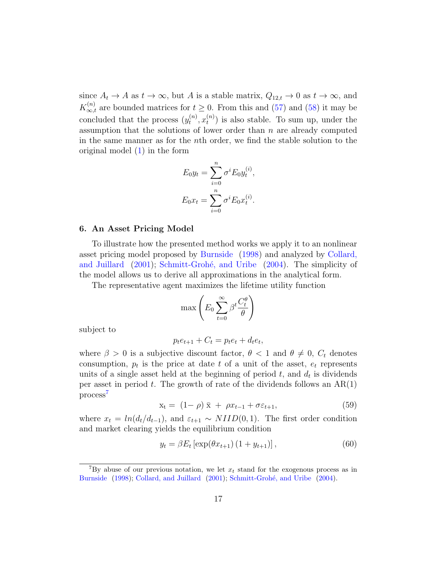since  $A_t \to A$  as  $t \to \infty$ , but A is a stable matrix,  $Q_{12,t} \to 0$  as  $t \to \infty$ , and  $K_{\infty,t}^{(n)}$  are bounded matrices for  $t \geq 0$ . From this and [\(57\)](#page-16-5) and [\(58\)](#page-16-6) it may be concluded that the process  $(y_t^{(n)})$  $t^{(n)}, x_t^{(n)}$  $\binom{n}{t}$  is also stable. To sum up, under the assumption that the solutions of lower order than  $n$  are already computed in the same manner as for the nth order, we find the stable solution to the original model [\(1\)](#page-4-1) in the form

$$
E_0 y_t = \sum_{i=0}^n \sigma^i E_0 y_t^{(i)},
$$
  

$$
E_0 x_t = \sum_{i=0}^n \sigma^i E_0 x_t^{(i)}.
$$

### <span id="page-17-0"></span>6. An Asset Pricing Model

To illustrate how the presented method works we apply it to an nonlinear asset pricing model proposed by [Burnside](#page-32-2) [\(1998\)](#page-32-2) and analyzed by [Collard,](#page-32-3) [and Juillard](#page-32-3)  $(2001)$ ; Schmitt-Grohé, and Uribe  $(2004)$ . The simplicity of the model allows us to derive all approximations in the analytical form.

The representative agent maximizes the lifetime utility function

$$
\max\left(E_0 \sum_{t=0}^{\infty} \beta^t \frac{C_t^{\theta}}{\theta}\right)
$$

subject to

$$
p_t e_{t+1} + C_t = p_t e_t + d_t e_t,
$$

where  $\beta > 0$  is a subjective discount factor,  $\theta < 1$  and  $\theta \neq 0$ ,  $C_t$  denotes consumption,  $p_t$  is the price at date t of a unit of the asset,  $e_t$  represents units of a single asset held at the beginning of period  $t$ , and  $d_t$  is dividends per asset in period t. The growth of rate of the dividends follows an  $AR(1)$ process[7](#page-17-1)

<span id="page-17-3"></span>
$$
\mathbf{x}_{t} = (1 - \rho) \bar{\mathbf{x}} + \rho x_{t-1} + \sigma \varepsilon_{t+1}, \tag{59}
$$

where  $x_t = ln(d_t/d_{t-1})$ , and  $\varepsilon_{t+1} \sim NIID(0, 1)$ . The first order condition and market clearing yields the equilibrium condition

<span id="page-17-2"></span>
$$
y_t = \beta E_t \left[ \exp(\theta x_{t+1}) \left( 1 + y_{t+1} \right) \right],\tag{60}
$$

<span id="page-17-1"></span><sup>&</sup>lt;sup>7</sup>By abuse of our previous notation, we let  $x_t$  stand for the exogenous process as in [Burnside](#page-32-2) [\(1998\)](#page-32-2); [Collard, and Juillard](#page-32-3) [\(2001\)](#page-32-3); Schmitt-Grohé, and Uribe [\(2004\)](#page-34-0).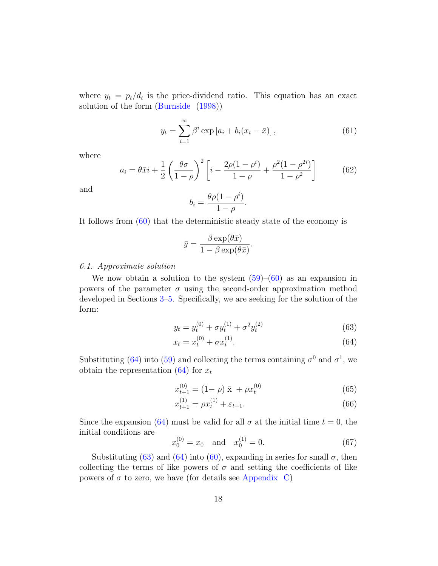where  $y_t = p_t/d_t$  is the price-dividend ratio. This equation has an exact solution of the form [\(Burnside](#page-32-2) [\(1998\)](#page-32-2))

$$
y_t = \sum_{i=1}^{\infty} \beta^i \exp\left[a_i + b_i(x_t - \bar{x})\right],\tag{61}
$$

where

$$
a_i = \theta \bar{x} i + \frac{1}{2} \left( \frac{\theta \sigma}{1 - \rho} \right)^2 \left[ i - \frac{2\rho (1 - \rho^i)}{1 - \rho} + \frac{\rho^2 (1 - \rho^{2i})}{1 - \rho^2} \right]
$$
(62)

and

$$
b_i = \frac{\theta \rho (1 - \rho^i)}{1 - \rho}.
$$

It follows from [\(60\)](#page-17-2) that the deterministic steady state of the economy is

$$
\bar{y} = \frac{\beta \exp(\theta \bar{x})}{1 - \beta \exp(\theta \bar{x})}.
$$

### 6.1. Approximate solution

We now obtain a solution to the system  $(59)-(60)$  $(59)-(60)$  $(59)-(60)$  as an expansion in powers of the parameter  $\sigma$  using the second-order approximation method developed in Sections [3](#page-4-0)[–5.](#page-10-0) Specifically, we are seeking for the solution of the form:

<span id="page-18-1"></span><span id="page-18-0"></span>
$$
y_t = y_t^{(0)} + \sigma y_t^{(1)} + \sigma^2 y_t^{(2)}
$$
\n(63)

$$
x_t = x_t^{(0)} + \sigma x_t^{(1)}.
$$
\n(64)

Substituting [\(64\)](#page-18-0) into [\(59\)](#page-17-3) and collecting the terms containing  $\sigma^0$  and  $\sigma^1$ , we obtain the representation  $(64)$  for  $x_t$ 

<span id="page-18-3"></span>
$$
x_{t+1}^{(0)} = (1 - \rho) \bar{x} + \rho x_t^{(0)}
$$
 (65)

$$
x_{t+1}^{(1)} = \rho x_t^{(1)} + \varepsilon_{t+1}.\tag{66}
$$

Since the expansion [\(64\)](#page-18-0) must be valid for all  $\sigma$  at the initial time  $t = 0$ , the initial conditions are  $(1)$ 

<span id="page-18-2"></span>
$$
x_0^{(0)} = x_0 \quad \text{and} \quad x_0^{(1)} = 0. \tag{67}
$$

Substituting [\(63\)](#page-18-1) and [\(64\)](#page-18-0) into [\(60\)](#page-17-2), expanding in series for small  $\sigma$ , then collecting the terms of like powers of  $\sigma$  and setting the coefficients of like powers of  $\sigma$  to zero, we have (for details see [Appendix C\)](#page-31-0)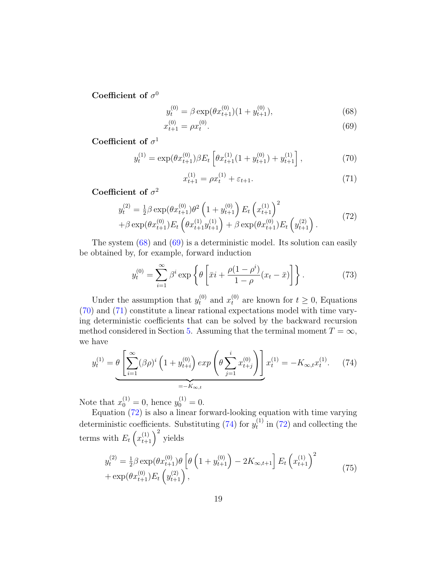Coefficient of  $\sigma^0$ 

$$
y_t^{(0)} = \beta \exp(\theta x_{t+1}^{(0)})(1 + y_{t+1}^{(0)}), \tag{68}
$$

$$
x_{t+1}^{(0)} = \rho x_t^{(0)}.\tag{69}
$$

<span id="page-19-2"></span>Coefficient of  $\sigma$ <sup>1</sup>

$$
y_t^{(1)} = \exp(\theta x_{t+1}^{(0)}) \beta E_t \left[ \theta x_{t+1}^{(1)} (1 + y_{t+1}^{(0)}) + y_{t+1}^{(1)} \right],\tag{70}
$$

<span id="page-19-3"></span><span id="page-19-1"></span><span id="page-19-0"></span>
$$
x_{t+1}^{(1)} = \rho x_t^{(1)} + \varepsilon_{t+1}.
$$
\n(71)

Coefficient of  $\sigma^2$ 

<span id="page-19-4"></span>
$$
y_t^{(2)} = \frac{1}{2}\beta \exp(\theta x_{t+1}^{(0)})\theta^2 \left(1 + y_{t+1}^{(0)}\right) E_t \left(x_{t+1}^{(1)}\right)^2 + \beta \exp(\theta x_{t+1}^{(0)}) E_t \left(\theta x_{t+1}^{(1)} y_{t+1}^{(1)}\right) + \beta \exp(\theta x_{t+1}^{(0)}) E_t \left(y_{t+1}^{(2)}\right).
$$
(72)

The system [\(68\)](#page-19-0) and [\(69\)](#page-19-1) is a deterministic model. Its solution can easily be obtained by, for example, forward induction

$$
y_t^{(0)} = \sum_{i=1}^{\infty} \beta^i \exp\left\{\theta \left[\bar{x}i + \frac{\rho(1-\rho^i)}{1-\rho}(x_t-\bar{x})\right]\right\}.
$$
 (73)

Under the assumption that  $y_t^{(0)}$  and  $x_t^{(0)}$  are known for  $t \geq 0$ , Equations [\(70\)](#page-19-2) and [\(71\)](#page-19-3) constitute a linear rational expectations model with time varying deterministic coefficients that can be solved by the backward recursion method considered in Section [5.](#page-10-0) Assuming that the terminal moment  $T = \infty$ , we have

<span id="page-19-5"></span>
$$
y_t^{(1)} = \theta \left[ \sum_{i=1}^{\infty} (\beta \rho)^i \left( 1 + y_{t+i}^{(0)} \right) \exp \left( \theta \sum_{j=1}^i x_{t+j}^{(0)} \right) \right] x_t^{(1)} = -K_{\infty, t} x_t^{(1)}.
$$
 (74)

Note that  $x_0^{(1)} = 0$ , hence  $y_0^{(1)} = 0$ .

Equation [\(72\)](#page-19-4) is also a linear forward-looking equation with time varying deterministic coefficients. Substituting [\(74\)](#page-19-5) for  $y_t^{(1)}$  $t_t^{(1)}$  in [\(72\)](#page-19-4) and collecting the terms with  $E_t\left(x_{t+1}^{(1)}\right)^2$  yields

<span id="page-19-6"></span>
$$
y_t^{(2)} = \frac{1}{2} \beta \exp(\theta x_{t+1}^{(0)}) \theta \left[ \theta \left( 1 + y_{t+1}^{(0)} \right) - 2K_{\infty, t+1} \right] E_t \left( x_{t+1}^{(1)} \right)^2 + \exp(\theta x_{t+1}^{(0)}) E_t \left( y_{t+1}^{(2)} \right), \tag{75}
$$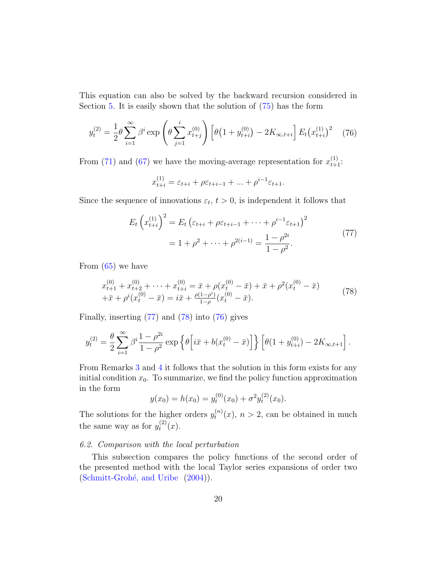This equation can also be solved by the backward recursion considered in Section [5.](#page-10-0) It is easily shown that the solution of [\(75\)](#page-19-6) has the form

<span id="page-20-2"></span>
$$
y_t^{(2)} = \frac{1}{2} \theta \sum_{i=1}^{\infty} \beta^i \exp\left(\theta \sum_{j=1}^i x_{t+j}^{(0)}\right) \left[\theta \left(1 + y_{t+i}^{(0)}\right) - 2K_{\infty, t+i}\right] E_t \left(x_{t+i}^{(1)}\right)^2 \tag{76}
$$

From [\(71\)](#page-19-3) and [\(67\)](#page-18-2) we have the moving-average representation for  $x_{t+1}^{(1)}$ :

$$
x_{t+i}^{(1)} = \varepsilon_{t+i} + \rho \varepsilon_{t+i-1} + \dots + \rho^{i-1} \varepsilon_{t+1}.
$$

<span id="page-20-0"></span>Since the sequence of innovations  $\varepsilon_t$ ,  $t > 0$ , is independent it follows that

$$
E_t \left( x_{t+i}^{(1)} \right)^2 = E_t \left( \varepsilon_{t+i} + \rho \varepsilon_{t+i-1} + \dots + \rho^{i-1} \varepsilon_{t+1} \right)^2
$$
  
=  $1 + \rho^2 + \dots + \rho^{2(i-1)} = \frac{1 - \rho^{2i}}{1 - \rho^2}.$  (77)

From [\(65\)](#page-18-3) we have

<span id="page-20-1"></span>
$$
x_{t+1}^{(0)} + x_{t+2}^{(0)} + \dots + x_{t+i}^{(0)} = \bar{x} + \rho (x_t^{(0)} - \bar{x}) + \bar{x} + \rho^2 (x_t^{(0)} - \bar{x})
$$
  
 
$$
+ \bar{x} + \rho^i (x_t^{(0)} - \bar{x}) = i\bar{x} + \frac{\rho(1-\rho^i)}{1-\rho} (x_t^{(0)} - \bar{x}).
$$
 (78)

Finally, inserting [\(77\)](#page-20-0) and [\(78\)](#page-20-1) into [\(76\)](#page-20-2) gives

$$
y_t^{(2)} = \frac{\theta}{2} \sum_{i=1}^{\infty} \beta^i \frac{1-\rho^{2i}}{1-\rho^2} \exp \left\{ \theta \Big[ i\bar{x} + b(x_t^{(0)} - \bar{x}) \Big] \right\} \Big[ \theta(1+y_{t+i}^{(0)}) - 2K_{\infty,t+1} \Big] \, .
$$

From Remarks [3](#page-15-0) and [4](#page-15-1) it follows that the solution in this form exists for any initial condition  $x_0$ . To summarize, we find the policy function approximation in the form

$$
y(x_0) = h(x_0) = y_t^{(0)}(x_0) + \sigma^2 y_t^{(2)}(x_0).
$$

The solutions for the higher orders  $y_t^{(n)}$  $t^{(n)}(x)$ ,  $n > 2$ , can be obtained in much the same way as for  $y_t^{(2)}$  $t^{(2)}(x).$ 

### 6.2. Comparison with the local perturbation

This subsection compares the policy functions of the second order of the presented method with the local Taylor series expansions of order two (Schmitt-Grohé, and Uribe [\(2004\)](#page-34-0)).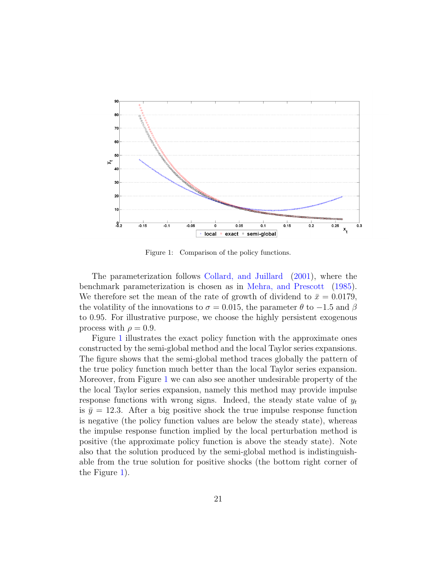

<span id="page-21-0"></span>Figure 1: Comparison of the policy functions.

The parameterization follows [Collard, and Juillard](#page-32-3) [\(2001\)](#page-32-3), where the benchmark parameterization is chosen as in [Mehra, and Prescott](#page-34-7) [\(1985\)](#page-34-7). We therefore set the mean of the rate of growth of dividend to  $\bar{x} = 0.0179$ , the volatility of the innovations to  $\sigma = 0.015$ , the parameter  $\theta$  to  $-1.5$  and  $\beta$ to 0.95. For illustrative purpose, we choose the highly persistent exogenous process with  $\rho = 0.9$ .

Figure [1](#page-21-0) illustrates the exact policy function with the approximate ones constructed by the semi-global method and the local Taylor series expansions. The figure shows that the semi-global method traces globally the pattern of the true policy function much better than the local Taylor series expansion. Moreover, from Figure [1](#page-21-0) we can also see another undesirable property of the the local Taylor series expansion, namely this method may provide impulse response functions with wrong signs. Indeed, the steady state value of  $y_t$ is  $\bar{y} = 12.3$ . After a big positive shock the true impulse response function is negative (the policy function values are below the steady state), whereas the impulse response function implied by the local perturbation method is positive (the approximate policy function is above the steady state). Note also that the solution produced by the semi-global method is indistinguishable from the true solution for positive shocks (the bottom right corner of the Figure [1\)](#page-21-0).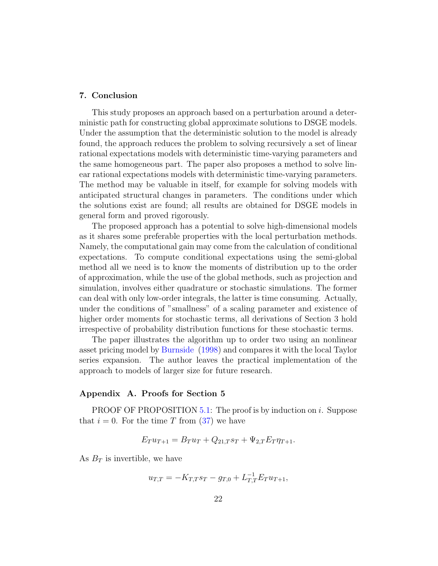### <span id="page-22-0"></span>7. Conclusion

This study proposes an approach based on a perturbation around a deterministic path for constructing global approximate solutions to DSGE models. Under the assumption that the deterministic solution to the model is already found, the approach reduces the problem to solving recursively a set of linear rational expectations models with deterministic time-varying parameters and the same homogeneous part. The paper also proposes a method to solve linear rational expectations models with deterministic time-varying parameters. The method may be valuable in itself, for example for solving models with anticipated structural changes in parameters. The conditions under which the solutions exist are found; all results are obtained for DSGE models in general form and proved rigorously.

The proposed approach has a potential to solve high-dimensional models as it shares some preferable properties with the local perturbation methods. Namely, the computational gain may come from the calculation of conditional expectations. To compute conditional expectations using the semi-global method all we need is to know the moments of distribution up to the order of approximation, while the use of the global methods, such as projection and simulation, involves either quadrature or stochastic simulations. The former can deal with only low-order integrals, the latter is time consuming. Actually, under the conditions of "smallness" of a scaling parameter and existence of higher order moments for stochastic terms, all derivations of Section 3 hold irrespective of probability distribution functions for these stochastic terms.

The paper illustrates the algorithm up to order two using an nonlinear asset pricing model by [Burnside](#page-32-2) [\(1998\)](#page-32-2) and compares it with the local Taylor series expansion. The author leaves the practical implementation of the approach to models of larger size for future research.

### <span id="page-22-1"></span>Appendix A. Proofs for Section 5

PROOF OF PROPOSITION [5.1:](#page-12-4) The proof is by induction on i. Suppose that  $i = 0$ . For the time T from [\(37\)](#page-11-2) we have

$$
E_T u_{T+1} = B_T u_T + Q_{21,T} s_T + \Psi_{2,T} E_T \eta_{T+1}.
$$

As  $B_T$  is invertible, we have

$$
u_{T,T} = -K_{T,T} s_T - g_{T,0} + L_{T,T}^{-1} E_T u_{T+1},
$$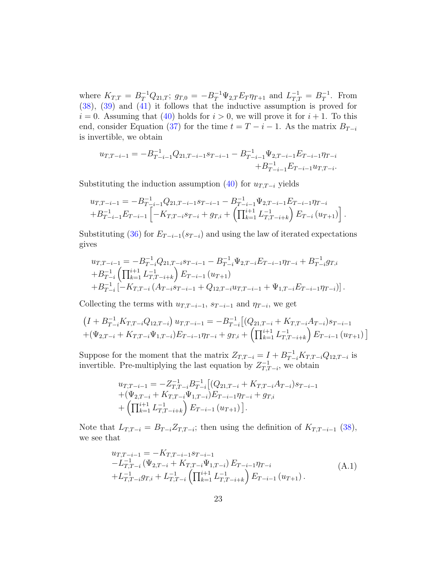where  $K_{T,T} = B_T^{-1} Q_{21,T}$ ;  $g_{T,0} = -B_T^{-1} \Psi_{2,T} E_T \eta_{T+1}$  and  $L_{T,T}^{-1} = B_T^{-1}$  $T^{-1}$ . From [\(38\)](#page-11-3), [\(39\)](#page-11-4) and [\(41\)](#page-12-3) it follows that the inductive assumption is proved for  $i = 0$ . Assuming that [\(40\)](#page-12-1) holds for  $i > 0$ , we will prove it for  $i + 1$ . To this end, consider Equation [\(37\)](#page-11-2) for the time  $t = T - i - 1$ . As the matrix  $B_{T-i}$ is invertible, we obtain

$$
u_{T,T-i-1} = -B_{T-i-1}^{-1}Q_{21,T-i-1}s_{T-i-1} - B_{T-i-1}^{-1}\Psi_{2,T-i-1}E_{T-i-1}\eta_{T-i} + B_{T-i-1}^{-1}E_{T-i-1}u_{T,T-i}.
$$

Substituting the induction assumption [\(40\)](#page-12-1) for  $u_{T,T-i}$  yields

$$
u_{T,T-i-1} = -B_{T-i-1}^{-1} Q_{21,T-i-1} s_{T-i-1} - B_{T-i-1}^{-1} \Psi_{2,T-i-1} E_{T-i-1} \eta_{T-i} + B_{T-i-1}^{-1} E_{T-i-1} \left[ -K_{T,T-i} s_{T-i} + g_{T,i} + \left( \prod_{k=1}^{i+1} L_{T,T-i+k}^{-1} \right) E_{T-i} \left( u_{T+1} \right) \right].
$$

Substituting [\(36\)](#page-11-1) for  $E_{T-i-1}(s_{T-i})$  and using the law of iterated expectations gives

$$
u_{T,T-i-1} = -B_{T-i}^{-1} Q_{21,T-i} s_{T-i-1} - B_{T-i}^{-1} \Psi_{2,T-i} E_{T-i-1} \eta_{T-i} + B_{T-i}^{-1} g_{T,i}
$$
  
+
$$
B_{T-i}^{-1} \left( \prod_{k=1}^{i+1} L_{T,T-i+k}^{-1} \right) E_{T-i-1} (u_{T+1})
$$
  
+
$$
B_{T-i}^{-1} \left[ -K_{T,T-i} (A_{T-i} s_{T-i-1} + Q_{12,T-i} u_{T,T-i-1} + \Psi_{1,T-i} E_{T-i-1} \eta_{T-i}) \right].
$$

Collecting the terms with  $u_{T,T-i-1}$ ,  $s_{T-i-1}$  and  $\eta_{T-i}$ , we get

$$
\left(I + B_{T-i}^{-1} K_{T,T-i} Q_{12,T-i}\right) u_{T,T-i-1} = -B_{T-i}^{-1} \left[ (Q_{21,T-i} + K_{T,T-i} A_{T-i}) s_{T-i-1} + (\Psi_{2,T-i} + K_{T,T-i} \Psi_{1,T-i}) E_{T-i-1} \eta_{T-i} + g_{T,i} + \left( \prod_{k=1}^{i+1} L_{T,T-i+k}^{-1} \right) E_{T-i-1} \left( u_{T+1} \right) \right]
$$

Suppose for the moment that the matrix  $Z_{T,T-i} = I + B_{T-i}^{-1} K_{T,T-i} Q_{12,T-i}$  is invertible. Pre-multiplying the last equation by  $Z_{T}^{-1}$  $T_{T,T-i}^{-1}$ , we obtain

$$
u_{T,T-i-1} = -Z_{T,T-i}^{-1} B_{T-i}^{-1} [(Q_{21,T-i} + K_{T,T-i} A_{T-i})s_{T-i-1}+( \Psi_{2,T-i} + K_{T,T-i} \Psi_{1,T-i}) E_{T-i-1} \eta_{T-i} + g_{T,i}+ ( \prod_{k=1}^{i+1} L_{T,T-i+k}^{-1} ) E_{T-i-1} (u_{T+1}) ].
$$

Note that  $L_{T,T-i} = B_{T-i} Z_{T,T-i}$ ; then using the definition of  $K_{T,T-i-1}$  [\(38\)](#page-11-3), we see that

<span id="page-23-0"></span>
$$
u_{T,T-i-1} = -K_{T,T-i-1}s_{T-i-1}
$$
  
\n
$$
-L_{T,T-i}^{-1} (\Psi_{2,T-i} + K_{T,T-i} \Psi_{1,T-i}) E_{T-i-1} \eta_{T-i}
$$
  
\n
$$
+L_{T,T-i}^{-1} g_{T,i} + L_{T,T-i}^{-1} (\prod_{k=1}^{i+1} L_{T,T-i+k}^{-1}) E_{T-i-1} (u_{T+1}).
$$
\n(A.1)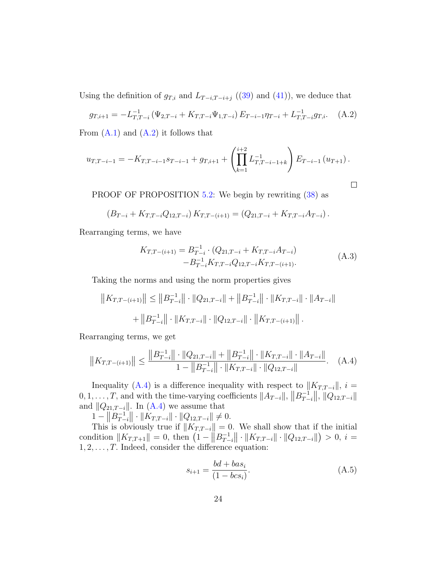Using the definition of  $g_{T,i}$  and  $L_{T-i,T-i+j}$  ([\(39\)](#page-11-4) and [\(41\)](#page-12-3)), we deduce that

<span id="page-24-0"></span>
$$
g_{T,i+1} = -L_{T,T-i}^{-1} \left( \Psi_{2,T-i} + K_{T,T-i} \Psi_{1,T-i} \right) E_{T-i-1} \eta_{T-i} + L_{T,T-i}^{-1} g_{T,i}.
$$
 (A.2)

From  $(A.1)$  and  $(A.2)$  it follows that

$$
u_{T,T-i-1} = -K_{T,T-i-1}s_{T-i-1} + g_{T,i+1} + \left(\prod_{k=1}^{i+2} L_{T,T-i-1+k}^{-1}\right) E_{T-i-1}(u_{T+1}).
$$

PROOF OF PROPOSITION [5.2:](#page-12-5) We begin by rewriting [\(38\)](#page-11-3) as

$$
(B_{T-i} + K_{T,T-i}Q_{12,T-i}) K_{T,T-(i+1)} = (Q_{21,T-i} + K_{T,T-i}A_{T-i}).
$$

<span id="page-24-3"></span>Rearranging terms, we have

$$
K_{T,T-(i+1)} = B_{T-i}^{-1} \cdot (Q_{21,T-i} + K_{T,T-i} A_{T-i})
$$
  
- B\_{T-i}^{-1} K\_{T,T-i} Q\_{12,T-i} K\_{T,T-(i+1)}. (A.3)

Taking the norms and using the norm properties gives

$$
||K_{T,T-(i+1)}|| \le ||B_{T-i}^{-1}|| \cdot ||Q_{21,T-i}|| + ||B_{T-i}^{-1}|| \cdot ||K_{T,T-i}|| \cdot ||A_{T-i}||
$$
  
+ 
$$
||B_{T-i}^{-1}|| \cdot ||K_{T,T-i}|| \cdot ||Q_{12,T-i}|| \cdot ||K_{T,T-(i+1)}||.
$$

Rearranging terms, we get

<span id="page-24-1"></span>
$$
||K_{T,T-(i+1)}|| \le \frac{||B_{T-i}^{-1}|| \cdot ||Q_{21,T-i}|| + ||B_{T-i}^{-1}|| \cdot ||K_{T,T-i}|| \cdot ||A_{T-i}||}{1 - ||B_{T-i}^{-1}|| \cdot ||K_{T,T-i}|| \cdot ||Q_{12,T-i}||}.
$$
 (A.4)

Inequality [\(A.4\)](#page-24-1) is a difference inequality with respect to  $||K_{T,T-i}||$ ,  $i =$  $0, 1, \ldots, T$ , and with the time-varying coefficients  $||A_{T-i}||$ ,  $||B_{T-i}^{-1}||$  $\left\| \frac{-1}{T-i} \right\|, \, \left\| Q_{12,T-i} \right\|$ and  $||Q_{21,T-i}||$ . In [\(A.4\)](#page-24-1) we assume that

 $1 - ||B_T^{-1}$  $\|T_{-i}^{-1}\| \cdot \|K_{T,T-i}\| \cdot \|Q_{12,T-i}\| \neq 0.$ 

This is obviously true if  $||K_{T,T-i}|| = 0$ . We shall show that if the initial condition  $||K_{T,T+1}|| = 0$ , then  $(1 - ||B_{T-1}^{-1}||)$  $\|T_{t-i}^{-1}\| \cdot \|K_{T,T-i}\| \cdot \|Q_{12,T-i}\| > 0, i =$  $1, 2, \ldots, T$ . Indeed, consider the difference equation:

<span id="page-24-2"></span>
$$
s_{i+1} = \frac{bd + bas_i}{(1 - bcs_i)}.
$$
 (A.5)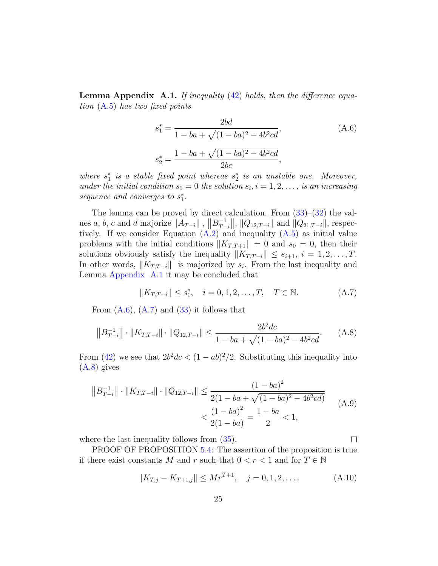<span id="page-25-1"></span>**Lemma Appendix A.1.** If inequality  $(42)$  holds, then the difference equation [\(A.5\)](#page-24-2) has two fixed points

<span id="page-25-2"></span>
$$
s_1^* = \frac{2bd}{1 - ba + \sqrt{(1 - ba)^2 - 4b^2cd}},
$$
\n
$$
s_2^* = \frac{1 - ba + \sqrt{(1 - ba)^2 - 4b^2cd}}{2bc},
$$
\n(A.6)

where  $s_1^*$  is a stable fixed point whereas  $s_2^*$  is an unstable one. Moreover, under the initial condition  $s_0 = 0$  the solution  $s_i$ ,  $i = 1, 2, \ldots$ , is an increasing sequence and converges to  $s_1^*$ .

The lemma can be proved by direct calculation. From  $(33)$ – $(32)$  the values a, b, c and d majorize  $||A_{T-i}||$ ,  $||B_{T-i}^{-1}||$  $\|T_{-i}^{-1}\|, \|Q_{12,T-i}\| \text{ and } \|Q_{21,T-i}\|, \text{ respec-}$ tively. If we consider Equation  $(A.2)$  and inequality  $(A.5)$  as initial value problems with the initial conditions  $||K_{T,T+1}|| = 0$  and  $s_0 = 0$ , then their solutions obviously satisfy the inequality  $||K_{T,T-i}|| \leq s_{i+1}, i = 1, 2, ..., T$ . In other words,  $||K_{T,T-i}||$  is majorized by  $s_i$ . From the last inequality and Lemma [Appendix A.1](#page-25-1) it may be concluded that

<span id="page-25-0"></span>
$$
||K_{T,T-i}|| \le s_1^*, \quad i = 0, 1, 2, \dots, T, \quad T \in \mathbb{N}.
$$
 (A.7)

From  $(A.6)$ ,  $(A.7)$  and  $(33)$  it follows that

<span id="page-25-3"></span>
$$
||B_{T-i}^{-1}|| \cdot ||K_{T,T-i}|| \cdot ||Q_{12,T-i}|| \le \frac{2b^2dc}{1-ba+\sqrt{(1-ba)^2-4b^2cd}}.\tag{A.8}
$$

From [\(42\)](#page-12-2) we see that  $2b^2dc < (1 - ab)^2/2$ . Substituting this inequality into [\(A.8\)](#page-25-3) gives

<span id="page-25-4"></span>
$$
||B_{T-i}^{-1}|| \cdot ||K_{T,T-i}|| \cdot ||Q_{12,T-i}|| \leq \frac{(1-ba)^2}{2(1-ba+\sqrt{(1-ba)^2-4b^2cd})}
$$
  

$$
< \frac{(1-ba)^2}{2(1-ba)} = \frac{1-ba}{2} < 1,
$$
 (A.9)

where the last inequality follows from  $(35)$ .

PROOF OF PROPOSITION [5.4:](#page-13-1) The assertion of the proposition is true if there exist constants M and r such that  $0 < r < 1$  and for  $T \in \mathbb{N}$ 

<span id="page-25-5"></span>
$$
||K_{T,j} - K_{T+1,j}|| \le Mr^{T+1}, \quad j = 0, 1, 2, \dots
$$
 (A.10)

 $\Box$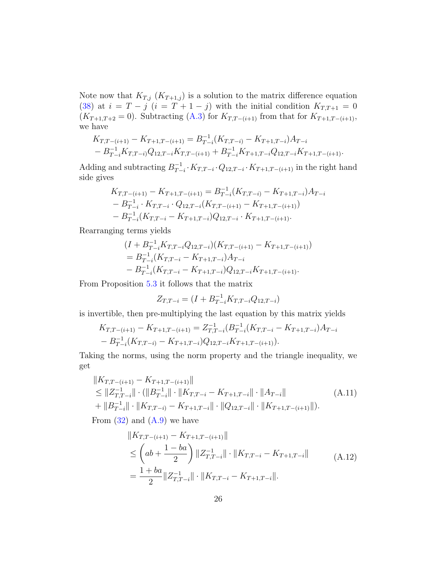Note now that  $K_{T,j}$   $(K_{T+1,j})$  is a solution to the matrix difference equation [\(38\)](#page-11-3) at  $i = T - j$   $(i = T + 1 - j)$  with the initial condition  $K_{T,T+1} = 0$  $(K_{T+1,T+2} = 0)$ . Subtracting [\(A.3\)](#page-24-3) for  $K_{T,T-(i+1)}$  from that for  $K_{T+1,T-(i+1)}$ , we have

$$
K_{T,T-(i+1)} - K_{T+1,T-(i+1)} = B_{T-i}^{-1}(K_{T,T-i)} - K_{T+1,T-i}A_{T-i}
$$
  
- 
$$
B_{T-i}^{-1}K_{T,T-i}Q_{12,T-i}K_{T,T-(i+1)} + B_{T-i}^{-1}K_{T+1,T-i}Q_{12,T-i}K_{T+1,T-(i+1)}.
$$

Adding and subtracting  $B_{T-}^{-1}$  $T_{T-i}^{-1} \cdot K_{T,T-i} \cdot Q_{12,T-i} \cdot K_{T+1,T-(i+1)}$  in the right hand side gives

$$
K_{T,T-(i+1)} - K_{T+1,T-(i+1)} = B_{T-i}^{-1} (K_{T,T-i)} - K_{T+1,T-i} A_{T-i}
$$
  
- 
$$
B_{T-i}^{-1} \cdot K_{T,T-i} \cdot Q_{12,T-i} (K_{T,T-(i+1)} - K_{T+1,T-(i+1)})
$$
  
- 
$$
B_{T-i}^{-1} (K_{T,T-i} - K_{T+1,T-i}) Q_{12,T-i} \cdot K_{T+1,T-(i+1)}.
$$

Rearranging terms yields

$$
(I + B_{T-i}^{-1} K_{T,T-i} Q_{12,T-i}) (K_{T,T-(i+1)} - K_{T+1,T-(i+1)})
$$
  
=  $B_{T-i}^{-1} (K_{T,T-i} - K_{T+1,T-i}) A_{T-i}$   
-  $B_{T-i}^{-1} (K_{T,T-i} - K_{T+1,T-i}) Q_{12,T-i} K_{T+1,T-(i+1)}.$ 

From Proposition [5.3](#page-12-6) it follows that the matrix

$$
Z_{T,T-i} = (I + B_{T-i}^{-1} K_{T,T-i} Q_{12,T-i})
$$

is invertible, then pre-multiplying the last equation by this matrix yields

$$
K_{T,T-(i+1)} - K_{T+1,T-(i+1)} = Z_{T,T-i}^{-1} (B_{T-i}^{-1} (K_{T,T-i} - K_{T+1,T-i}) A_{T-i} - B_{T-i}^{-1} (K_{T,T-i}) - K_{T+1,T-i} Q_{12,T-i} K_{T+1,T-(i+1)}).
$$

Taking the norms, using the norm property and the triangle inequality, we get

$$
||K_{T,T-(i+1)} - K_{T+1,T-(i+1)}||
$$
  
\n
$$
\leq ||Z_{T,T-i}^{-1}|| \cdot (||B_{T-i}^{-1}|| \cdot ||K_{T,T-i} - K_{T+1,T-i}|| \cdot ||A_{T-i}||)
$$
  
\n
$$
+ ||B_{T-i}^{-1}|| \cdot ||K_{T,T-i} - K_{T+1,T-i}|| \cdot ||Q_{12,T-i}|| \cdot ||K_{T+1,T-(i+1)}||).
$$
\n(A.11)

<span id="page-26-0"></span>From  $(32)$  and  $(A.9)$  we have

$$
||K_{T,T-(i+1)} - K_{T+1,T-(i+1)}||
$$
  
\n
$$
\leq \left(ab + \frac{1 - ba}{2}\right) ||Z_{T,T-i}^{-1}|| \cdot ||K_{T,T-i} - K_{T+1,T-i}||
$$
  
\n
$$
= \frac{1 + ba}{2} ||Z_{T,T-i}^{-1}|| \cdot ||K_{T,T-i} - K_{T+1,T-i}||.
$$
\n(A.12)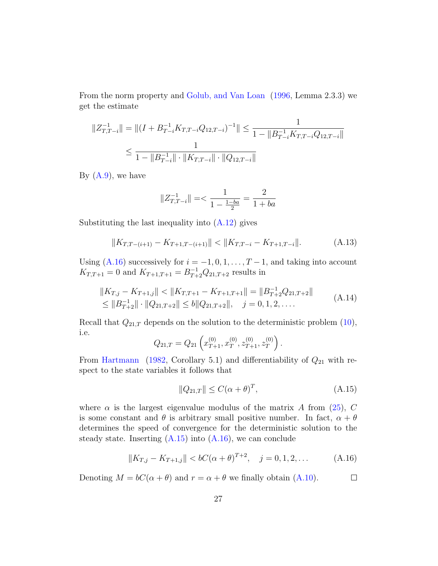From the norm property and [Golub, and Van Loan](#page-33-11) [\(1996,](#page-33-11) Lemma 2.3.3) we get the estimate

$$
||Z_{T,T-i}^{-1}|| = ||(I + B_{T-i}^{-1} K_{T,T-i} Q_{12,T-i})^{-1}|| \le \frac{1}{1 - ||B_{T-i}^{-1} K_{T,T-i} Q_{12,T-i}||}
$$
  

$$
\le \frac{1}{1 - ||B_{T-i}^{-1}|| \cdot ||K_{T,T-i}|| \cdot ||Q_{12,T-i}||}
$$

By  $(A.9)$ , we have

$$
\|Z_{T,T-i}^{-1}\| = < \frac{1}{1-\frac{1-ba}{2}} = \frac{2}{1+ba}
$$

Substituting the last inequality into  $(A.12)$  gives

$$
||K_{T,T-(i+1)} - K_{T+1,T-(i+1)}|| < ||K_{T,T-i} - K_{T+1,T-i}||.
$$
\n(A.13)

Using [\(A.16\)](#page-27-0) successively for  $i = -1, 0, 1, \ldots, T-1$ , and taking into account  $K_{T,T+1} = 0$  and  $K_{T+1,T+1} = B_{T+2}^{-1} Q_{21,T+2}$  results in

$$
||K_{T,j} - K_{T+1,j}|| < ||K_{T,T+1} - K_{T+1,T+1}|| = ||B_{T+2}^{-1} Q_{21,T+2}||
$$
  
\n
$$
\le ||B_{T+2}^{-1}|| \cdot ||Q_{21,T+2}|| \le b||Q_{21,T+2}||, \quad j = 0, 1, 2, ....
$$
\n(A.14)

Recall that  $Q_{21,T}$  depends on the solution to the deterministic problem [\(10\)](#page-5-2), i.e.

$$
Q_{21,T} = Q_{21}\left(x_{T+1}^{(0)}, x_T^{(0)}, z_{T+1}^{(0)}, z_T^{(0)}\right).
$$

From [Hartmann](#page-33-10) [\(1982,](#page-33-10) Corollary 5.1) and differentiability of  $Q_{21}$  with respect to the state variables it follows that

<span id="page-27-1"></span>
$$
||Q_{21,T}|| \le C(\alpha + \theta)^{T}, \tag{A.15}
$$

where  $\alpha$  is the largest eigenvalue modulus of the matrix A from [\(25\)](#page-9-6), C is some constant and  $\theta$  is arbitrary small positive number. In fact,  $\alpha + \theta$ determines the speed of convergence for the deterministic solution to the steady state. Inserting  $(A.15)$  into  $(A.16)$ , we can conclude

$$
||K_{T,j} - K_{T+1,j}|| < bC(\alpha + \theta)^{T+2}, \quad j = 0, 1, 2, \dots
$$
 (A.16)

<span id="page-27-0"></span>Denoting  $M = bC(\alpha + \theta)$  and  $r = \alpha + \theta$  we finally obtain [\(A.10\)](#page-25-5).  $\Box$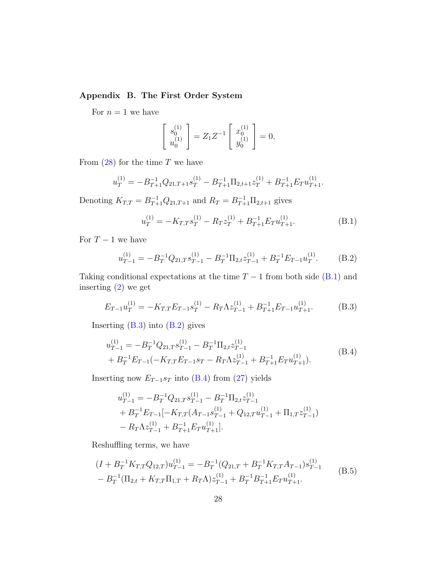## <span id="page-28-0"></span>Appendix B. The First Order System

For  $n = 1$  we have

$$
\begin{bmatrix} s_0^{(1)} \\ u_0^{(1)} \end{bmatrix} = Z_1 Z^{-1} \begin{bmatrix} x_0^{(1)} \\ y_0^{(1)} \end{bmatrix} = 0,
$$

From  $(28)$  for the time T we have

$$
u_T^{(1)} = -B_{T+1}^{-1} Q_{21,T+1} s_T^{(1)} - B_{T+1}^{-1} \Pi_{2,t+1} z_T^{(1)} + B_{T+1}^{-1} E_T u_{T+1}^{(1)}.
$$

Denoting  $K_{T,T} = B_{T+1}^{-1} Q_{21,T+1}$  and  $R_T = B_{T+1}^{-1} \Pi_{2,t+1}$  gives

<span id="page-28-1"></span>
$$
u_T^{(1)} = -K_{T,T} s_T^{(1)} - R_T z_T^{(1)} + B_{T+1}^{-1} E_T u_{T+1}^{(1)}.
$$
 (B.1)

For  $T-1$  we have

<span id="page-28-3"></span>
$$
u_{T-1}^{(1)} = -B_T^{-1} Q_{21,T} s_{T-1}^{(1)} - B_T^{-1} \Pi_{2,t} z_{T-1}^{(1)} + B_T^{-1} E_{T-1} u_T^{(1)}.
$$
 (B.2)

Taking conditional expectations at the time  $T - 1$  from both side [\(B.1\)](#page-28-1) and inserting [\(2\)](#page-4-1) we get

<span id="page-28-2"></span>
$$
E_{T-1}u_T^{(1)} = -K_{T,T}E_{T-1}s_T^{(1)} - R_T\Lambda z_{T-1}^{(1)} + B_{T+1}^{-1}E_{T-1}u_{T+1}^{(1)}.
$$
 (B.3)

<span id="page-28-4"></span>Inserting  $(B.3)$  into  $(B.2)$  gives

$$
u_{T-1}^{(1)} = -B_T^{-1} Q_{21,T} s_{T-1}^{(1)} - B_T^{-1} \Pi_{2,t} z_{T-1}^{(1)}
$$
  
+ 
$$
B_T^{-1} E_{T-1} (-K_{T,T} E_{T-1} s_T - R_T \Lambda z_{T-1}^{(1)} + B_{T+1}^{-1} E_T u_{T+1}^{(1)}).
$$
 (B.4)

Inserting now  $E_{T-1}s_T$  into [\(B.4\)](#page-28-4) from [\(27\)](#page-9-3) yields

$$
u_{T-1}^{(1)} = -B_T^{-1} Q_{21,T} s_{T-1}^{(1)} - B_T^{-1} \Pi_{2,t} z_{T-1}^{(1)}
$$
  
+  $B_T^{-1} E_{T-1} [-K_{T,T} (A_{T-1} s_{T-1}^{(1)} + Q_{12,T} u_{T-1}^{(1)} + \Pi_{1,T} z_{T-1}^{(1)})$   
-  $R_T \Lambda z_{T-1}^{(1)} + B_{T+1}^{-1} E_T u_{T+1}^{(1)}].$ 

Reshuffling terms, we have

<span id="page-28-5"></span>
$$
(I + B_T^{-1} K_{T,T} Q_{12,T}) u_{T-1}^{(1)} = -B_T^{-1} (Q_{21,T} + B_T^{-1} K_{T,T} A_{T-1}) s_{T-1}^{(1)}
$$
  
- 
$$
B_T^{-1} (\Pi_{2,t} + K_{T,T} \Pi_{1,T} + R_T \Lambda) z_{T-1}^{(1)} + B_T^{-1} B_{T+1}^{-1} E_T u_{T+1}^{(1)}.
$$
 (B.5)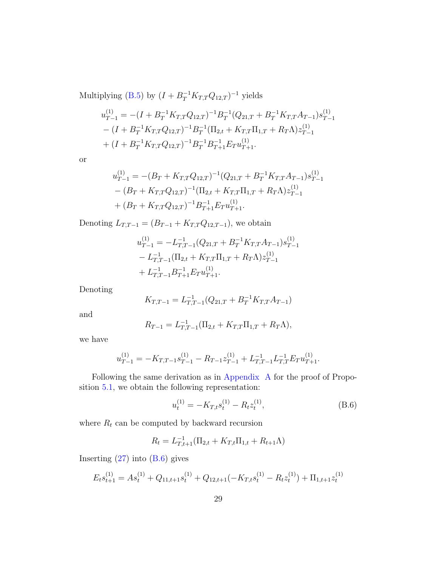Multiplying [\(B.5\)](#page-28-5) by  $(I + B_T^{-1}K_{T,T}Q_{12,T})^{-1}$  yields

$$
u_{T-1}^{(1)} = -(I + B_T^{-1} K_{T,T} Q_{12,T})^{-1} B_T^{-1} (Q_{21,T} + B_T^{-1} K_{T,T} A_{T-1}) s_{T-1}^{(1)}
$$
  
-(I + B\_T^{-1} K\_{T,T} Q\_{12,T})^{-1} B\_T^{-1} (\Pi\_{2,t} + K\_{T,T} \Pi\_{1,T} + R\_T \Lambda) z\_{T-1}^{(1)}  
+(I + B\_T^{-1} K\_{T,T} Q\_{12,T})^{-1} B\_T^{-1} B\_{T+1}^{-1} E\_T u\_{T+1}^{(1)}.

or

$$
u_{T-1}^{(1)} = -(B_T + K_{T,T}Q_{12,T})^{-1}(Q_{21,T} + B_T^{-1}K_{T,T}A_{T-1})s_{T-1}^{(1)}
$$
  
- 
$$
(B_T + K_{T,T}Q_{12,T})^{-1}(\Pi_{2,t} + K_{T,T}\Pi_{1,T} + R_T\Lambda)z_{T-1}^{(1)}
$$
  
+ 
$$
(B_T + K_{T,T}Q_{12,T})^{-1}B_{T+1}^{-1}E_Tu_{T+1}^{(1)}.
$$

Denoting  $L_{T,T-1} = (B_{T-1} + K_{T,T} Q_{12,T-1})$ , we obtain

$$
u_{T-1}^{(1)} = -L_{T,T-1}^{-1} (Q_{21,T} + B_T^{-1} K_{T,T} A_{T-1}) s_{T-1}^{(1)}
$$
  
-  $L_{T,T-1}^{-1} (\Pi_{2,t} + K_{T,T} \Pi_{1,T} + R_T \Lambda) z_{T-1}^{(1)}$   
+  $L_{T,T-1}^{-1} B_{T+1}^{-1} E_T u_{T+1}^{(1)}$ .

Denoting

$$
K_{T,T-1} = L_{T,T-1}^{-1}(Q_{21,T} + B_T^{-1}K_{T,T}A_{T-1})
$$

and

$$
R_{T-1} = L_{T,T-1}^{-1}(\Pi_{2,t} + K_{T,T}\Pi_{1,T} + R_T\Lambda),
$$

we have

$$
u_{T-1}^{(1)} = -K_{T,T-1}s_{T-1}^{(1)} - R_{T-1}z_{T-1}^{(1)} + L_{T,T-1}^{-1}L_{T,T}^{-1}E_Tu_{T+1}^{(1)}.
$$

Following the same derivation as in [Appendix A](#page-22-1) for the proof of Proposition [5.1,](#page-12-4) we obtain the following representation:

<span id="page-29-0"></span>
$$
u_t^{(1)} = -K_{T,t} s_t^{(1)} - R_t z_t^{(1)},
$$
\n(B.6)

where  $R_t$  can be computed by backward recursion

$$
R_t = L_{T,t+1}^{-1}(\Pi_{2,t} + K_{T,t}\Pi_{1,t} + R_{t+1}\Lambda)
$$

Inserting  $(27)$  into  $(B.6)$  gives

$$
E_t s_{t+1}^{(1)} = A s_t^{(1)} + Q_{11,t+1} s_t^{(1)} + Q_{12,t+1} \left( -K_{T,t} s_t^{(1)} - R_t z_t^{(1)} \right) + \Pi_{1,t+1} z_t^{(1)}
$$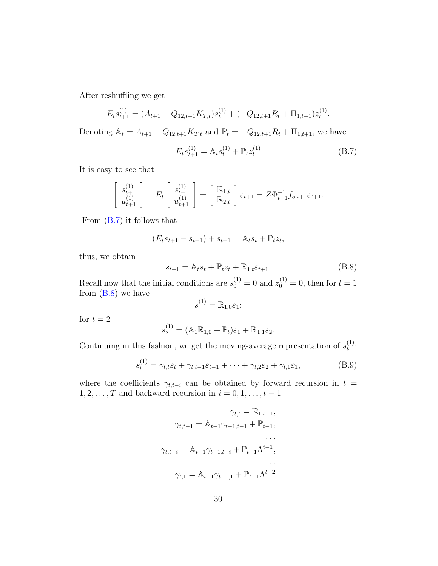After reshuffling we get

$$
E_t s_{t+1}^{(1)} = (A_{t+1} - Q_{12,t+1} K_{T,t}) s_t^{(1)} + (-Q_{12,t+1} R_t + \Pi_{1,t+1}) z_t^{(1)}.
$$

Denoting  $A_t = A_{t+1} - Q_{12,t+1}K_{T,t}$  and  $\mathbb{P}_t = -Q_{12,t+1}R_t + \Pi_{1,t+1}$ , we have

<span id="page-30-0"></span>
$$
E_t s_{t+1}^{(1)} = \mathbb{A}_t s_t^{(1)} + \mathbb{P}_t z_t^{(1)}
$$
 (B.7)

It is easy to see that

$$
\begin{bmatrix} s_{t+1}^{(1)} \\ u_{t+1}^{(1)} \end{bmatrix} - E_t \begin{bmatrix} s_{t+1}^{(1)} \\ u_{t+1}^{(1)} \end{bmatrix} = \begin{bmatrix} \mathbb{R}_{1,t} \\ \mathbb{R}_{2,t} \end{bmatrix} \varepsilon_{t+1} = Z\Phi_{t+1}^{-1} f_{5,t+1} \varepsilon_{t+1}.
$$

From [\(B.7\)](#page-30-0) it follows that

$$
(E_ts_{t+1} - s_{t+1}) + s_{t+1} = \mathbb{A}_t s_t + \mathbb{P}_t z_t,
$$

thus, we obtain

<span id="page-30-1"></span>
$$
s_{t+1} = \mathbb{A}_t s_t + \mathbb{P}_t z_t + \mathbb{R}_{1,t} \varepsilon_{t+1}.
$$
 (B.8)

Recall now that the initial conditions are  $s_0^{(1)} = 0$  and  $z_0^{(1)} = 0$ , then for  $t = 1$ from  $(B.8)$  we have

$$
s_1^{(1)} = \mathbb{R}_{1,0} \varepsilon_1;
$$

for  $t = 2$ 

$$
s_2^{(1)} = (\mathbb{A}_1 \mathbb{R}_{1,0} + \mathbb{P}_t) \varepsilon_1 + \mathbb{R}_{1,1} \varepsilon_2.
$$

Continuing in this fashion, we get the moving-average representation of  $s_t^{(1)}$  $\frac{1}{t}$ :

<span id="page-30-2"></span>
$$
s_t^{(1)} = \gamma_{t,t} \varepsilon_t + \gamma_{t,t-1} \varepsilon_{t-1} + \dots + \gamma_{t,2} \varepsilon_2 + \gamma_{t,1} \varepsilon_1, \tag{B.9}
$$

where the coefficients  $\gamma_{t,t-i}$  can be obtained by forward recursion in  $t =$  $1, 2, \ldots, T$  and backward recursion in  $i = 0, 1, \ldots, t - 1$ 

$$
\gamma_{t,t} = \mathbb{R}_{1,t-1},
$$
  
\n
$$
\gamma_{t,t-1} = \mathbb{A}_{t-1} \gamma_{t-1,t-1} + \mathbb{P}_{t-1},
$$
  
\n...  
\n
$$
\gamma_{t,t-i} = \mathbb{A}_{t-1} \gamma_{t-1,t-i} + \mathbb{P}_{t-1} \Lambda^{i-1},
$$
  
\n...  
\n...  
\n
$$
\gamma_{t,1} = \mathbb{A}_{t-1} \gamma_{t-1,1} + \mathbb{P}_{t-1} \Lambda^{t-2}
$$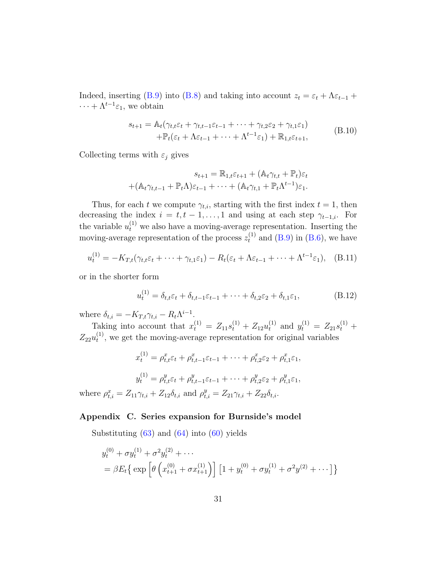Indeed, inserting [\(B.9\)](#page-30-2) into [\(B.8\)](#page-30-1) and taking into account  $z_t = \varepsilon_t + \Lambda \varepsilon_{t-1}$  +  $\cdots + \Lambda^{t-1} \varepsilon_1$ , we obtain

$$
s_{t+1} = \mathbb{A}_t(\gamma_{t,t}\varepsilon_t + \gamma_{t,t-1}\varepsilon_{t-1} + \dots + \gamma_{t,2}\varepsilon_2 + \gamma_{t,1}\varepsilon_1) + \mathbb{P}_t(\varepsilon_t + \Lambda\varepsilon_{t-1} + \dots + \Lambda^{t-1}\varepsilon_1) + \mathbb{R}_{1,t}\varepsilon_{t+1},
$$
 (B.10)

Collecting terms with  $\varepsilon_j$  gives

$$
s_{t+1} = \mathbb{R}_{1,t} \varepsilon_{t+1} + (\mathbb{A}_t \gamma_{t,t} + \mathbb{P}_t) \varepsilon_t
$$

$$
+ (\mathbb{A}_t \gamma_{t,t-1} + \mathbb{P}_t \Lambda) \varepsilon_{t-1} + \dots + (\mathbb{A}_t \gamma_{t,1} + \mathbb{P}_t \Lambda^{t-1}) \varepsilon_1.
$$

Thus, for each t we compute  $\gamma_{t,i}$ , starting with the first index  $t = 1$ , then decreasing the index  $i = t, t - 1, \ldots, 1$  and using at each step  $\gamma_{t-1,i}$ . For the variable  $u_t^{(1)}$  we also have a moving-average representation. Inserting the moving-average representation of the process  $z_t^{(1)}$  and [\(B.9\)](#page-30-2) in [\(B.6\)](#page-29-0), we have

$$
u_t^{(1)} = -K_{T,t}(\gamma_{t,t}\varepsilon_t + \dots + \gamma_{t,1}\varepsilon_1) - R_t(\varepsilon_t + \Lambda\varepsilon_{t-1} + \dots + \Lambda^{t-1}\varepsilon_1), \quad (B.11)
$$

or in the shorter form

where  $\rho_t^x$ 

$$
u_t^{(1)} = \delta_{t,t}\varepsilon_t + \delta_{t,t-1}\varepsilon_{t-1} + \dots + \delta_{t,2}\varepsilon_2 + \delta_{t,1}\varepsilon_1,\tag{B.12}
$$

where  $\delta_{t,i} = -K_{T,t}\gamma_{t,i} - R_t \Lambda^{i-1}$ .

Taking into account that  $x_t^{(1)} = Z_{11} s_t^{(1)} + Z_{12} u_t^{(1)}$  and  $y_t^{(1)} = Z_{21} s_t^{(1)} +$  $Z_{22}u_{t}^{(1)}$  $t^{(1)}$ , we get the moving-average representation for original variables

$$
x_t^{(1)} = \rho_{t,t}^x \varepsilon_t + \rho_{t,t-1}^x \varepsilon_{t-1} + \dots + \rho_{t,2}^x \varepsilon_2 + \rho_{t,1}^x \varepsilon_1,
$$
  

$$
y_t^{(1)} = \rho_{t,t}^y \varepsilon_t + \rho_{t,t-1}^y \varepsilon_{t-1} + \dots + \rho_{t,2}^y \varepsilon_2 + \rho_{t,1}^y \varepsilon_1,
$$
  

$$
x_{t,i}^x = Z_{11} \gamma_{t,i} + Z_{12} \delta_{t,i} \text{ and } \rho_{t,i}^y = Z_{21} \gamma_{t,i} + Z_{22} \delta_{t,i}.
$$

### <span id="page-31-0"></span>Appendix C. Series expansion for Burnside's model

Substituting  $(63)$  and  $(64)$  into  $(60)$  yields

$$
y_t^{(0)} + \sigma y_t^{(1)} + \sigma^2 y_t^{(2)} + \cdots
$$
  
=  $\beta E_t \{ \exp \left[ \theta \left( x_{t+1}^{(0)} + \sigma x_{t+1}^{(1)} \right) \right] \left[ 1 + y_t^{(0)} + \sigma y_t^{(1)} + \sigma^2 y^{(2)} + \cdots \right] \}$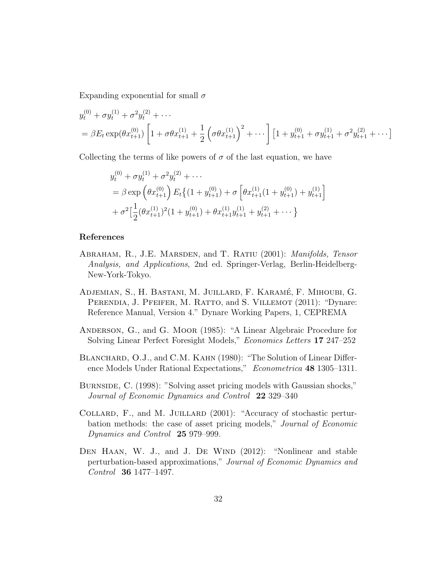Expanding exponential for small  $\sigma$ 

$$
y_t^{(0)} + \sigma y_t^{(1)} + \sigma^2 y_t^{(2)} + \cdots
$$
  
=  $\beta E_t \exp(\theta x_{t+1}^{(0)}) \left[ 1 + \sigma \theta x_{t+1}^{(1)} + \frac{1}{2} \left( \sigma \theta x_{t+1}^{(1)} \right)^2 + \cdots \right] \left[ 1 + y_{t+1}^{(0)} + \sigma y_{t+1}^{(1)} + \sigma^2 y_{t+1}^{(2)} + \cdots \right]$ 

Collecting the terms of like powers of  $\sigma$  of the last equation, we have

$$
y_t^{(0)} + \sigma y_t^{(1)} + \sigma^2 y_t^{(2)} + \cdots
$$
  
=  $\beta \exp \left(\theta x_{t+1}^{(0)}\right) E_t \left\{ (1 + y_{t+1}^{(0)}) + \sigma \left[ \theta x_{t+1}^{(1)} (1 + y_{t+1}^{(0)}) + y_{t+1}^{(1)} \right] + \sigma^2 \left[ \frac{1}{2} (\theta x_{t+1}^{(1)})^2 (1 + y_{t+1}^{(0)}) + \theta x_{t+1}^{(1)} y_{t+1}^{(1)} + y_{t+1}^{(2)} + \cdots \right\}$ 

### References

- <span id="page-32-4"></span>ABRAHAM, R., J.E. MARSDEN, and T. RATIU (2001): *Manifolds, Tensor* Analysis, and Applications, 2nd ed. Springer-Verlag, Berlin-Heidelberg-New-York-Tokyo.
- <span id="page-32-1"></span>ADJEMIAN, S., H. BASTANI, M. JUILLARD, F. KARAMÉ, F. MIHOUBI, G. PERENDIA, J. PFEIFER, M. RATTO, and S. VILLEMOT (2011): "Dynare: Reference Manual, Version 4." Dynare Working Papers, 1, CEPREMA
- <span id="page-32-6"></span>Anderson, G., and G. Moor (1985): "A Linear Algebraic Procedure for Solving Linear Perfect Foresight Models," Economics Letters 17 247–252
- <span id="page-32-5"></span>BLANCHARD, O.J., and C.M. KAHN (1980): "The Solution of Linear Difference Models Under Rational Expectations," Econometrica 48 1305-1311.
- <span id="page-32-2"></span>Burnside, C. (1998): "Solving asset pricing models with Gaussian shocks," Journal of Economic Dynamics and Control 22 329–340
- <span id="page-32-3"></span>COLLARD, F., and M. JUILLARD (2001): "Accuracy of stochastic perturbation methods: the case of asset pricing models," Journal of Economic Dynamics and Control 25 979–999.
- <span id="page-32-0"></span>DEN HAAN, W. J., and J. DE WIND (2012): "Nonlinear and stable perturbation-based approximations," Journal of Economic Dynamics and Control 36 1477–1497.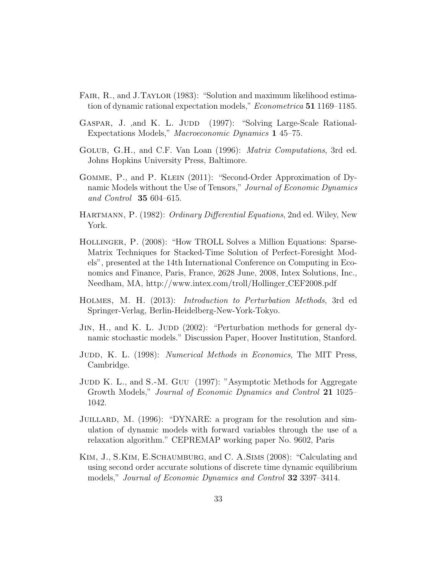- <span id="page-33-8"></span>FAIR, R., and J.TAYLOR (1983): "Solution and maximum likelihood estimation of dynamic rational expectation models," Econometrica 51 1169–1185.
- <span id="page-33-3"></span>GASPAR, J., and K. L. JUDD (1997): "Solving Large-Scale Rational-Expectations Models," Macroeconomic Dynamics 1 45–75.
- <span id="page-33-11"></span>Golub, G.H., and C.F. Van Loan (1996): Matrix Computations, 3rd ed. Johns Hopkins University Press, Baltimore.
- <span id="page-33-6"></span>Gomme, P., and P. Klein (2011): "Second-Order Approximation of Dynamic Models without the Use of Tensors," Journal of Economic Dynamics and Control 35 604–615.
- <span id="page-33-10"></span>HARTMANN, P. (1982): *Ordinary Differential Equations*, 2nd ed. Wiley, New York.
- <span id="page-33-1"></span>Hollinger, P. (2008): "How TROLL Solves a Million Equations: Sparse-Matrix Techniques for Stacked-Time Solution of Perfect-Foresight Models", presented at the 14th International Conference on Computing in Economics and Finance, Paris, France, 2628 June, 2008, Intex Solutions, Inc., Needham, MA, http://www.intex.com/troll/Hollinger CEF2008.pdf
- <span id="page-33-7"></span>Holmes, M. H. (2013): Introduction to Perturbation Methods, 3rd ed Springer-Verlag, Berlin-Heidelberg-New-York-Tokyo.
- <span id="page-33-5"></span>JIN, H., and K. L. JUDD (2002): "Perturbation methods for general dynamic stochastic models." Discussion Paper, Hoover Institution, Stanford.
- <span id="page-33-2"></span>JUDD, K. L. (1998): *Numerical Methods in Economics*, The MIT Press, Cambridge.
- <span id="page-33-4"></span>JUDD K. L., and S.-M. GUU (1997): "Asymptotic Methods for Aggregate Growth Models," Journal of Economic Dynamics and Control 21 1025– 1042.
- <span id="page-33-9"></span>JUILLARD, M. (1996): "DYNARE: a program for the resolution and simulation of dynamic models with forward variables through the use of a relaxation algorithm." CEPREMAP working paper No. 9602, Paris
- <span id="page-33-0"></span>Kim, J., S.Kim, E.Schaumburg, and C. A.Sims (2008): "Calculating and using second order accurate solutions of discrete time dynamic equilibrium models," Journal of Economic Dynamics and Control 32 3397–3414.